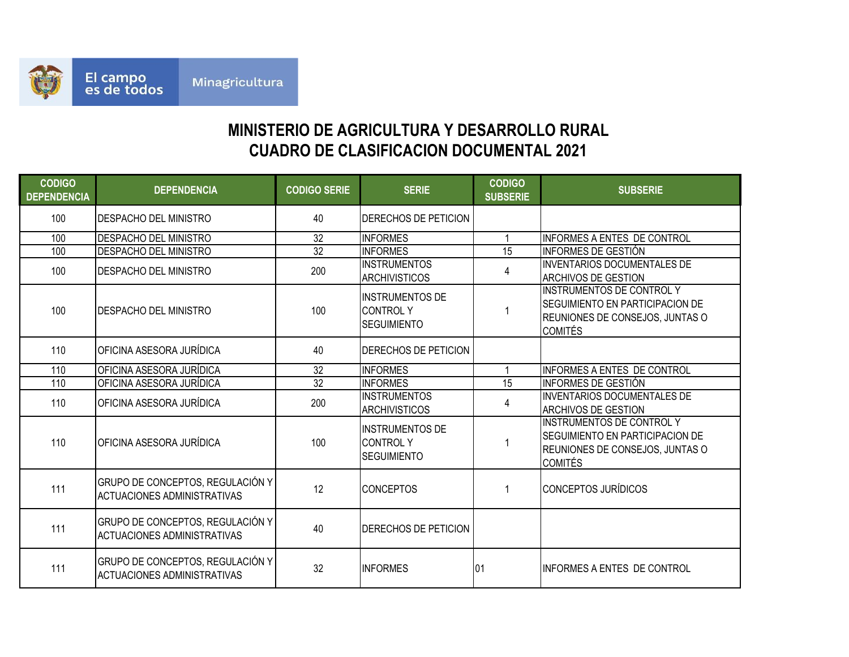

## **CUADRO DE CLASIFICACION DOCUMENTAL 2021 MINISTERIO DE AGRICULTURA Y DESARROLLO RURAL**

| <b>CODIGO</b><br><b>DEPENDENCIA</b> | <b>DEPENDENCIA</b>                                                     | <b>CODIGO SERIE</b> | <b>SERIE</b>                                                    | <b>CODIGO</b><br><b>SUBSERIE</b> | <b>SUBSERIE</b>                                                                                                                        |
|-------------------------------------|------------------------------------------------------------------------|---------------------|-----------------------------------------------------------------|----------------------------------|----------------------------------------------------------------------------------------------------------------------------------------|
| 100                                 | <b>I</b> DESPACHO DEL MINISTRO                                         | 40                  | <b>DERECHOS DE PETICION</b>                                     |                                  |                                                                                                                                        |
| 100                                 | <b>DESPACHO DEL MINISTRO</b>                                           | 32                  | <b>INFORMES</b>                                                 |                                  | INFORMES A ENTES DE CONTROL                                                                                                            |
| 100                                 | DESPACHO DEL MINISTRO                                                  | $\overline{32}$     | <b>INFORMES</b>                                                 | 15                               | IINFORMES DE GESTIÓN                                                                                                                   |
| 100                                 | DESPACHO DEL MINISTRO                                                  | 200                 | <b>IINSTRUMENTOS</b><br><b>ARCHIVISTICOS</b>                    | 4                                | <b>INVENTARIOS DOCUMENTALES DE</b><br><b>ARCHIVOS DE GESTION</b>                                                                       |
| 100                                 | DESPACHO DEL MINISTRO                                                  | 100                 | <b>INSTRUMENTOS DE</b><br><b>CONTROLY</b><br><b>SEGUIMIENTO</b> |                                  | <b>INSTRUMENTOS DE CONTROL Y</b><br><b>SEGUIMIENTO EN PARTICIPACION DE</b><br><b>REUNIONES DE CONSEJOS, JUNTAS O</b><br><b>COMITÉS</b> |
| 110                                 | OFICINA ASESORA JURÍDICA                                               | 40                  | <b>DERECHOS DE PETICION</b>                                     |                                  |                                                                                                                                        |
| 110                                 | OFICINA ASESORA JURÍDICA                                               | 32                  | <b>INFORMES</b>                                                 |                                  | INFORMES A ENTES DE CONTROL                                                                                                            |
| 110                                 | OFICINA ASESORA JURÍDICA                                               | 32                  | <b>INFORMES</b>                                                 | 15                               | INFORMES DE GESTIÓN                                                                                                                    |
| 110                                 | OFICINA ASESORA JURÍDICA                                               | 200                 | <b>INSTRUMENTOS</b><br><b>ARCHIVISTICOS</b>                     | 4                                | INVENTARIOS DOCUMENTALES DE<br><b>ARCHIVOS DE GESTION</b>                                                                              |
| 110                                 | OFICINA ASESORA JURÍDICA                                               | 100                 | <b>INSTRUMENTOS DE</b><br><b>CONTROLY</b><br><b>SEGUIMIENTO</b> |                                  | <b>INSTRUMENTOS DE CONTROL Y</b><br>SEGUIMIENTO EN PARTICIPACION DE<br>REUNIONES DE CONSEJOS, JUNTAS O<br><b>COMITÉS</b>               |
| 111                                 | GRUPO DE CONCEPTOS, REGULACIÓN Y<br><b>ACTUACIONES ADMINISTRATIVAS</b> | 12                  | <b>CONCEPTOS</b>                                                |                                  | <b>CONCEPTOS JURÍDICOS</b>                                                                                                             |
| 111                                 | GRUPO DE CONCEPTOS, REGULACIÓN Y<br><b>ACTUACIONES ADMINISTRATIVAS</b> | 40                  | <b>DERECHOS DE PETICION</b>                                     |                                  |                                                                                                                                        |
| 111                                 | GRUPO DE CONCEPTOS, REGULACIÓN Y<br><b>ACTUACIONES ADMINISTRATIVAS</b> | 32                  | <b>INFORMES</b>                                                 | 01                               | <b>INFORMES A ENTES DE CONTROL</b>                                                                                                     |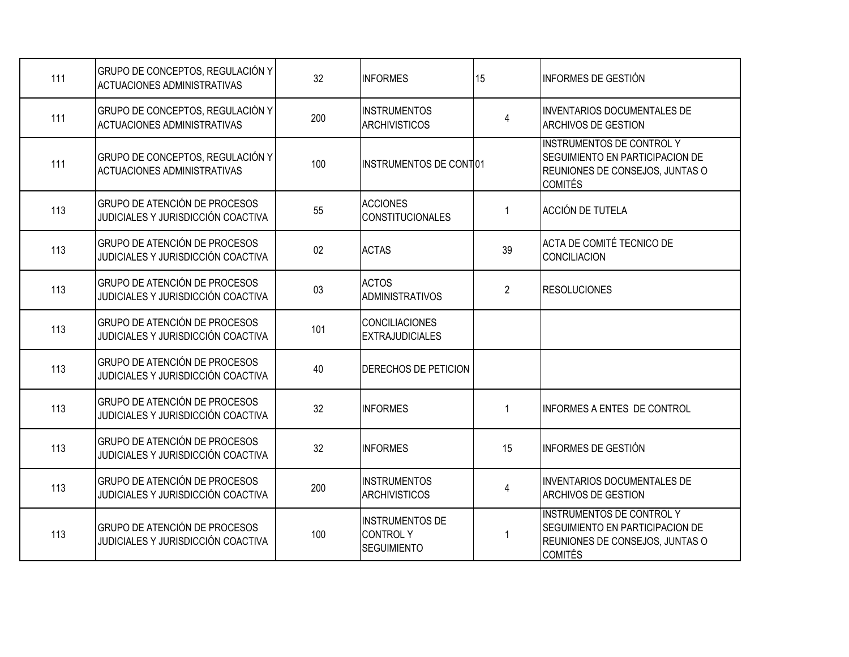| 111 | GRUPO DE CONCEPTOS, REGULACIÓN Y<br><b>ACTUACIONES ADMINISTRATIVAS</b>     | 32  | <b>INFORMES</b>                                          | 15             | INFORMES DE GESTIÓN                                                                                                      |
|-----|----------------------------------------------------------------------------|-----|----------------------------------------------------------|----------------|--------------------------------------------------------------------------------------------------------------------------|
| 111 | GRUPO DE CONCEPTOS, REGULACIÓN Y<br><b>ACTUACIONES ADMINISTRATIVAS</b>     | 200 | <b>INSTRUMENTOS</b><br><b>ARCHIVISTICOS</b>              | $\overline{4}$ | <b>INVENTARIOS DOCUMENTALES DE</b><br><b>ARCHIVOS DE GESTION</b>                                                         |
| 111 | GRUPO DE CONCEPTOS, REGULACIÓN Y<br><b>ACTUACIONES ADMINISTRATIVAS</b>     | 100 | INSTRUMENTOS DE CONT01                                   |                | <b>INSTRUMENTOS DE CONTROL Y</b><br>SEGUIMIENTO EN PARTICIPACION DE<br>REUNIONES DE CONSEJOS, JUNTAS O<br><b>COMITÉS</b> |
| 113 | GRUPO DE ATENCIÓN DE PROCESOS<br>JUDICIALES Y JURISDICCIÓN COACTIVA        | 55  | <b>ACCIONES</b><br><b>CONSTITUCIONALES</b>               | -1             | ACCIÓN DE TUTELA                                                                                                         |
| 113 | GRUPO DE ATENCIÓN DE PROCESOS<br>JUDICIALES Y JURISDICCIÓN COACTIVA        | 02  | <b>ACTAS</b>                                             | 39             | ACTA DE COMITÉ TECNICO DE<br><b>CONCILIACION</b>                                                                         |
| 113 | GRUPO DE ATENCIÓN DE PROCESOS<br>JUDICIALES Y JURISDICCIÓN COACTIVA        | 03  | <b>ACTOS</b><br><b>ADMINISTRATIVOS</b>                   | $\overline{2}$ | <b>RESOLUCIONES</b>                                                                                                      |
| 113 | GRUPO DE ATENCIÓN DE PROCESOS<br>JUDICIALES Y JURISDICCIÓN COACTIVA        | 101 | <b>CONCILIACIONES</b><br><b>EXTRAJUDICIALES</b>          |                |                                                                                                                          |
| 113 | GRUPO DE ATENCIÓN DE PROCESOS<br>JUDICIALES Y JURISDICCIÓN COACTIVA        | 40  | DERECHOS DE PETICION                                     |                |                                                                                                                          |
| 113 | <b>GRUPO DE ATENCIÓN DE PROCESOS</b><br>JUDICIALES Y JURISDICCIÓN COACTIVA | 32  | <b>INFORMES</b>                                          | $\mathbf{1}$   | INFORMES A ENTES DE CONTROL                                                                                              |
| 113 | <b>GRUPO DE ATENCIÓN DE PROCESOS</b><br>JUDICIALES Y JURISDICCIÓN COACTIVA | 32  | <b>INFORMES</b>                                          | 15             | INFORMES DE GESTIÓN                                                                                                      |
| 113 | GRUPO DE ATENCIÓN DE PROCESOS<br>JUDICIALES Y JURISDICCIÓN COACTIVA        | 200 | <b>INSTRUMENTOS</b><br><b>ARCHIVISTICOS</b>              | 4              | INVENTARIOS DOCUMENTALES DE<br><b>ARCHIVOS DE GESTION</b>                                                                |
| 113 | <b>GRUPO DE ATENCIÓN DE PROCESOS</b><br>JUDICIALES Y JURISDICCIÓN COACTIVA | 100 | <b>INSTRUMENTOS DE</b><br>CONTROLY<br><b>SEGUIMIENTO</b> |                | <b>INSTRUMENTOS DE CONTROL Y</b><br>SEGUIMIENTO EN PARTICIPACION DE<br>REUNIONES DE CONSEJOS, JUNTAS O<br><b>COMITÉS</b> |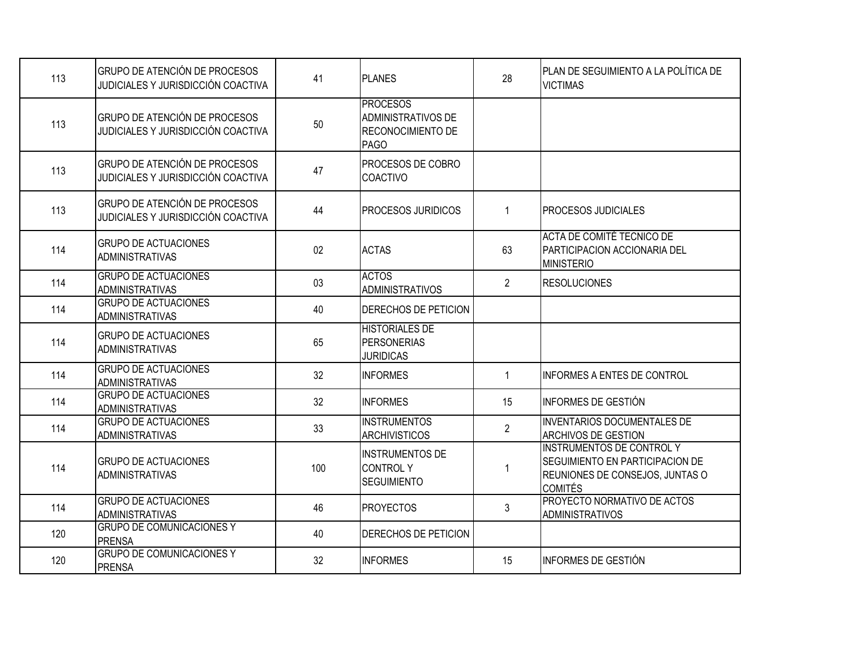| 113 | GRUPO DE ATENCIÓN DE PROCESOS<br>JUDICIALES Y JURISDICCIÓN COACTIVA        | 41     | <b>PLANES</b>                                                                           | 28             | PLAN DE SEGUIMIENTO A LA POLÍTICA DE<br><b>VICTIMAS</b>                                                                  |
|-----|----------------------------------------------------------------------------|--------|-----------------------------------------------------------------------------------------|----------------|--------------------------------------------------------------------------------------------------------------------------|
| 113 | <b>GRUPO DE ATENCIÓN DE PROCESOS</b><br>JUDICIALES Y JURISDICCIÓN COACTIVA | 50     | <b>PROCESOS</b><br><b>ADMINISTRATIVOS DE</b><br><b>RECONOCIMIENTO DE</b><br><b>PAGO</b> |                |                                                                                                                          |
| 113 | GRUPO DE ATENCIÓN DE PROCESOS<br>JUDICIALES Y JURISDICCIÓN COACTIVA        | 47     | PROCESOS DE COBRO<br><b>COACTIVO</b>                                                    |                |                                                                                                                          |
| 113 | GRUPO DE ATENCIÓN DE PROCESOS<br>JUDICIALES Y JURISDICCIÓN COACTIVA        | 44     | <b>PROCESOS JURIDICOS</b>                                                               | $\mathbf{1}$   | <b>PROCESOS JUDICIALES</b>                                                                                               |
| 114 | <b>GRUPO DE ACTUACIONES</b><br><b>ADMINISTRATIVAS</b>                      | $02\,$ | <b>ACTAS</b>                                                                            | 63             | ACTA DE COMITÉ TECNICO DE<br><b>PARTICIPACION ACCIONARIA DEL</b><br><b>MINISTERIO</b>                                    |
| 114 | <b>GRUPO DE ACTUACIONES</b><br><b>ADMINISTRATIVAS</b>                      | 03     | <b>ACTOS</b><br>ADMINISTRATIVOS                                                         | $\overline{2}$ | <b>RESOLUCIONES</b>                                                                                                      |
| 114 | <b>GRUPO DE ACTUACIONES</b><br><b>ADMINISTRATIVAS</b>                      | 40     | DERECHOS DE PETICION                                                                    |                |                                                                                                                          |
| 114 | <b>GRUPO DE ACTUACIONES</b><br><b>ADMINISTRATIVAS</b>                      | 65     | <b>HISTORIALES DE</b><br><b>PERSONERIAS</b><br><b>JURIDICAS</b>                         |                |                                                                                                                          |
| 114 | <b>GRUPO DE ACTUACIONES</b><br><b>ADMINISTRATIVAS</b>                      | 32     | <b>INFORMES</b>                                                                         | $\mathbf{1}$   | <b>INFORMES A ENTES DE CONTROL</b>                                                                                       |
| 114 | <b>GRUPO DE ACTUACIONES</b><br><b>ADMINISTRATIVAS</b>                      | 32     | <b>INFORMES</b>                                                                         | 15             | INFORMES DE GESTIÓN                                                                                                      |
| 114 | <b>GRUPO DE ACTUACIONES</b><br><b>ADMINISTRATIVAS</b>                      | 33     | <b>INSTRUMENTOS</b><br><b>ARCHIVISTICOS</b>                                             | $\overline{2}$ | <b>INVENTARIOS DOCUMENTALES DE</b><br><b>ARCHIVOS DE GESTION</b>                                                         |
| 114 | <b>GRUPO DE ACTUACIONES</b><br><b>ADMINISTRATIVAS</b>                      | 100    | <b>INSTRUMENTOS DE</b><br><b>CONTROLY</b><br><b>SEGUIMIENTO</b>                         | 1              | <b>INSTRUMENTOS DE CONTROL Y</b><br>SEGUIMIENTO EN PARTICIPACION DE<br>REUNIONES DE CONSEJOS, JUNTAS O<br><b>COMITÉS</b> |
| 114 | <b>GRUPO DE ACTUACIONES</b><br><b>ADMINISTRATIVAS</b>                      | 46     | <b>PROYECTOS</b>                                                                        | 3              | PROYECTO NORMATIVO DE ACTOS<br><b>ADMINISTRATIVOS</b>                                                                    |
| 120 | <b>GRUPO DE COMUNICACIONES Y</b><br><b>PRENSA</b>                          | 40     | DERECHOS DE PETICION                                                                    |                |                                                                                                                          |
| 120 | <b>GRUPO DE COMUNICACIONES Y</b><br>PRENSA                                 | 32     | <b>INFORMES</b>                                                                         | 15             | INFORMES DE GESTIÓN                                                                                                      |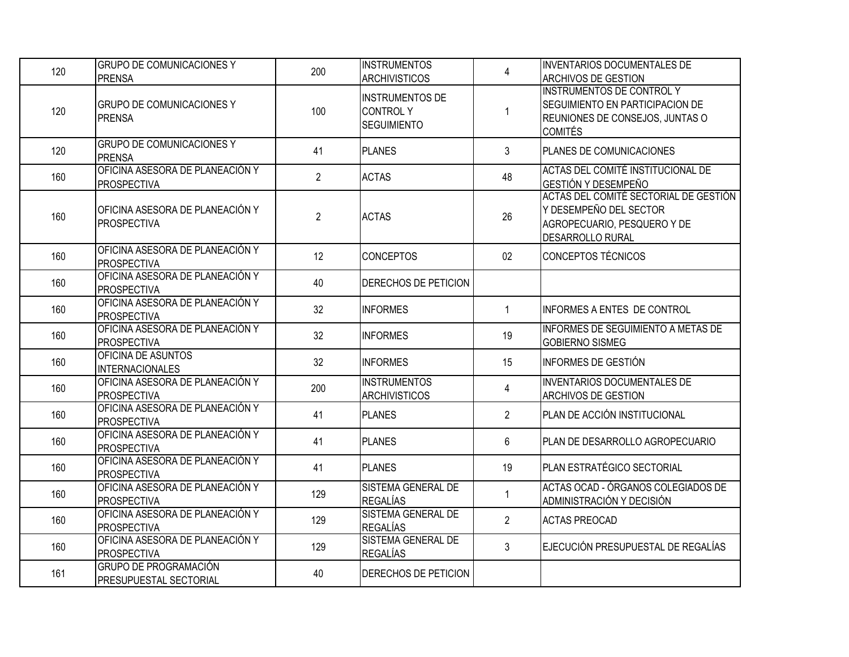| 120 | <b>GRUPO DE COMUNICACIONES Y</b><br><b>PRENSA</b>             | 200            | <b>INSTRUMENTOS</b><br><b>ARCHIVISTICOS</b>                     | $\overline{4}$ | <b>INVENTARIOS DOCUMENTALES DE</b><br><b>ARCHIVOS DE GESTION</b>                                                          |
|-----|---------------------------------------------------------------|----------------|-----------------------------------------------------------------|----------------|---------------------------------------------------------------------------------------------------------------------------|
| 120 | <b>GRUPO DE COMUNICACIONES Y</b><br>PRENSA                    | 100            | <b>INSTRUMENTOS DE</b><br><b>CONTROLY</b><br><b>SEGUIMIENTO</b> | 1              | <b>INSTRUMENTOS DE CONTROL Y</b><br>SEGUIMIENTO EN PARTICIPACION DE<br>REUNIONES DE CONSEJOS, JUNTAS O<br><b>COMITÉS</b>  |
| 120 | <b>GRUPO DE COMUNICACIONES Y</b><br>PRENSA                    | 41             | <b>PLANES</b>                                                   | 3              | PLANES DE COMUNICACIONES                                                                                                  |
| 160 | OFICINA ASESORA DE PLANEACIÓN Y<br><b>PROSPECTIVA</b>         | $\overline{2}$ | <b>ACTAS</b>                                                    | 48             | ACTAS DEL COMITÉ INSTITUCIONAL DE<br>GESTIÓN Y DESEMPEÑO                                                                  |
| 160 | OFICINA ASESORA DE PLANEACIÓN Y<br><b>PROSPECTIVA</b>         | $\overline{2}$ | <b>ACTAS</b>                                                    | 26             | ACTAS DEL COMITÉ SECTORIAL DE GESTIÓN<br>Y DESEMPEÑO DEL SECTOR<br>AGROPECUARIO, PESQUERO Y DE<br><b>DESARROLLO RURAL</b> |
| 160 | OFICINA ASESORA DE PLANEACIÓN Y<br><b>PROSPECTIVA</b>         | 12             | <b>CONCEPTOS</b>                                                | 02             | <b>CONCEPTOS TÉCNICOS</b>                                                                                                 |
| 160 | OFICINA ASESORA DE PLANEACIÓN Y<br>PROSPECTIVA                | 40             | DERECHOS DE PETICION                                            |                |                                                                                                                           |
| 160 | OFICINA ASESORA DE PLANEACIÓN Y<br>PROSPECTIVA                | 32             | <b>INFORMES</b>                                                 | $\mathbf 1$    | INFORMES A ENTES DE CONTROL                                                                                               |
| 160 | OFICINA ASESORA DE PLANEACIÓN Y<br><b>PROSPECTIVA</b>         | 32             | <b>INFORMES</b>                                                 | 19             | INFORMES DE SEGUIMIENTO A METAS DE<br><b>GOBIERNO SISMEG</b>                                                              |
| 160 | OFICINA DE ASUNTOS<br><b>INTERNACIONALES</b>                  | 32             | <b>INFORMES</b>                                                 | 15             | INFORMES DE GESTIÓN                                                                                                       |
| 160 | OFICINA ASESORA DE PLANEACIÓN Y<br><b>PROSPECTIVA</b>         | 200            | <b>INSTRUMENTOS</b><br><b>ARCHIVISTICOS</b>                     | 4              | <b>INVENTARIOS DOCUMENTALES DE</b><br><b>ARCHIVOS DE GESTION</b>                                                          |
| 160 | OFICINA ASESORA DE PLANEACIÓN Y<br>PROSPECTIVA                | 41             | <b>PLANES</b>                                                   | $\overline{2}$ | PLAN DE ACCIÓN INSTITUCIONAL                                                                                              |
| 160 | OFICINA ASESORA DE PLANEACIÓN Y<br>PROSPECTIVA                | 41             | <b>PLANES</b>                                                   | 6              | PLAN DE DESARROLLO AGROPECUARIO                                                                                           |
| 160 | OFICINA ASESORA DE PLANEACIÓN Y<br>PROSPECTIVA                | 41             | <b>PLANES</b>                                                   | 19             | PLAN ESTRATÉGICO SECTORIAL                                                                                                |
| 160 | OFICINA ASESORA DE PLANEACIÓN Y<br>PROSPECTIVA                | 129            | SISTEMA GENERAL DE<br><b>REGALÍAS</b>                           | $\mathbf{1}$   | ACTAS OCAD - ÓRGANOS COLEGIADOS DE<br>ADMINISTRACIÓN Y DECISIÓN                                                           |
| 160 | OFICINA ASESORA DE PLANEACIÓN Y<br>PROSPECTIVA                | 129            | SISTEMA GENERAL DE<br><b>REGALÍAS</b>                           | $\overline{2}$ | <b>ACTAS PREOCAD</b>                                                                                                      |
| 160 | OFICINA ASESORA DE PLANEACIÓN Y<br><b>PROSPECTIVA</b>         | 129            | SISTEMA GENERAL DE<br><b>REGALÍAS</b>                           | $\mathfrak{Z}$ | EJECUCIÓN PRESUPUESTAL DE REGALÍAS                                                                                        |
| 161 | <b>GRUPO DE PROGRAMACIÓN</b><br><b>PRESUPUESTAL SECTORIAL</b> | 40             | DERECHOS DE PETICION                                            |                |                                                                                                                           |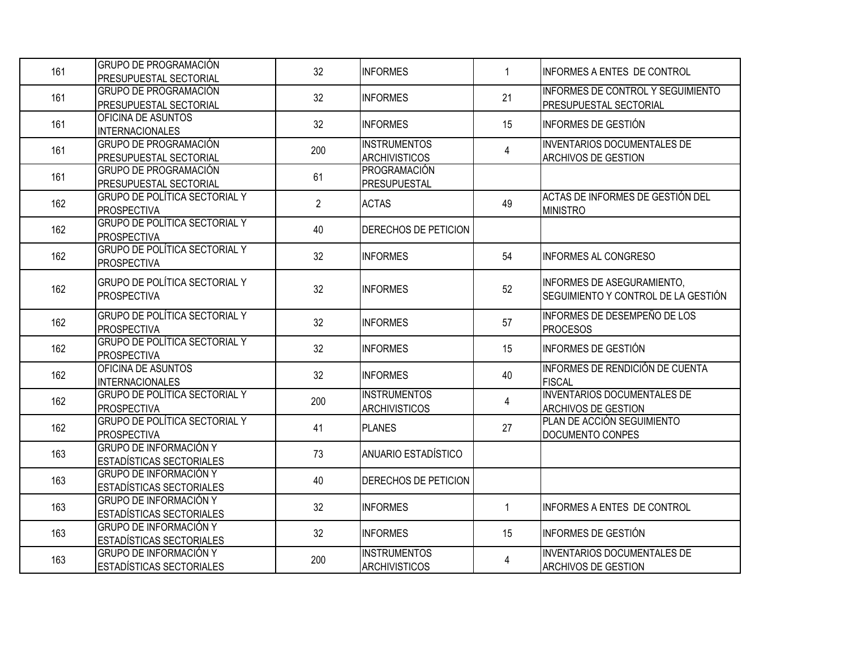| 161 | <b>GRUPO DE PROGRAMACIÓN</b><br>PRESUPUESTAL SECTORIAL     | 32             | <b>INFORMES</b>                             | $\mathbf{1}$   | <b>INFORMES A ENTES DE CONTROL</b>                                |
|-----|------------------------------------------------------------|----------------|---------------------------------------------|----------------|-------------------------------------------------------------------|
| 161 | <b>GRUPO DE PROGRAMACIÓN</b><br>PRESUPUESTAL SECTORIAL     | 32             | <b>INFORMES</b>                             | 21             | INFORMES DE CONTROL Y SEGUIMIENTO<br>PRESUPUESTAL SECTORIAL       |
| 161 | OFICINA DE ASUNTOS<br><b>INTERNACIONALES</b>               | 32             | <b>INFORMES</b>                             | 15             | <b>INFORMES DE GESTIÓN</b>                                        |
| 161 | <b>GRUPO DE PROGRAMACIÓN</b><br>PRESUPUESTAL SECTORIAL     | 200            | <b>INSTRUMENTOS</b><br><b>ARCHIVISTICOS</b> | 4              | <b>INVENTARIOS DOCUMENTALES DE</b><br><b>ARCHIVOS DE GESTION</b>  |
| 161 | <b>GRUPO DE PROGRAMACIÓN</b><br>PRESUPUESTAL SECTORIAL     | 61             | PROGRAMACIÓN<br><b>PRESUPUESTAL</b>         |                |                                                                   |
| 162 | <b>GRUPO DE POLÍTICA SECTORIAL Y</b><br><b>PROSPECTIVA</b> | $\overline{2}$ | <b>ACTAS</b>                                | 49             | ACTAS DE INFORMES DE GESTIÓN DEL<br><b>MINISTRO</b>               |
| 162 | <b>GRUPO DE POLÍTICA SECTORIAL Y</b><br><b>PROSPECTIVA</b> | 40             | DERECHOS DE PETICION                        |                |                                                                   |
| 162 | <b>GRUPO DE POLÍTICA SECTORIAL Y</b><br><b>PROSPECTIVA</b> | 32             | <b>INFORMES</b>                             | 54             | <b>INFORMES AL CONGRESO</b>                                       |
| 162 | <b>GRUPO DE POLÍTICA SECTORIAL Y</b><br><b>PROSPECTIVA</b> | 32             | <b>INFORMES</b>                             | 52             | INFORMES DE ASEGURAMIENTO.<br>SEGUIMIENTO Y CONTROL DE LA GESTIÓN |
| 162 | <b>GRUPO DE POLÍTICA SECTORIAL Y</b><br><b>PROSPECTIVA</b> | 32             | <b>INFORMES</b>                             | 57             | INFORMES DE DESEMPEÑO DE LOS<br><b>PROCESOS</b>                   |
| 162 | <b>GRUPO DE POLÍTICA SECTORIAL Y</b><br><b>PROSPECTIVA</b> | 32             | <b>INFORMES</b>                             | 15             | INFORMES DE GESTIÓN                                               |
| 162 | OFICINA DE ASUNTOS<br><b>INTERNACIONALES</b>               | 32             | <b>INFORMES</b>                             | 40             | INFORMES DE RENDICIÓN DE CUENTA<br><b>FISCAL</b>                  |
| 162 | <b>GRUPO DE POLÍTICA SECTORIAL Y</b><br><b>PROSPECTIVA</b> | 200            | <b>INSTRUMENTOS</b><br><b>ARCHIVISTICOS</b> | $\overline{4}$ | <b>INVENTARIOS DOCUMENTALES DE</b><br><b>ARCHIVOS DE GESTION</b>  |
| 162 | <b>GRUPO DE POLÍTICA SECTORIAL Y</b><br><b>PROSPECTIVA</b> | 41             | PLANES                                      | 27             | PLAN DE ACCIÓN SEGUIMIENTO<br><b>DOCUMENTO CONPES</b>             |
| 163 | <b>GRUPO DE INFORMACIÓN Y</b><br>ESTADÍSTICAS SECTORIALES  | 73             | ANUARIO ESTADÍSTICO                         |                |                                                                   |
| 163 | <b>GRUPO DE INFORMACIÓN Y</b><br>ESTADÍSTICAS SECTORIALES  | 40             | DERECHOS DE PETICION                        |                |                                                                   |
| 163 | <b>GRUPO DE INFORMACIÓN Y</b><br>ESTADÍSTICAS SECTORIALES  | 32             | <b>INFORMES</b>                             | $\mathbf{1}$   | INFORMES A ENTES DE CONTROL                                       |
| 163 | <b>GRUPO DE INFORMACIÓN Y</b><br>ESTADÍSTICAS SECTORIALES  | 32             | <b>INFORMES</b>                             | 15             | <b>INFORMES DE GESTIÓN</b>                                        |
| 163 | <b>GRUPO DE INFORMACIÓN Y</b><br>ESTADÍSTICAS SECTORIALES  | 200            | <b>INSTRUMENTOS</b><br><b>ARCHIVISTICOS</b> | 4              | <b>INVENTARIOS DOCUMENTALES DE</b><br><b>ARCHIVOS DE GESTION</b>  |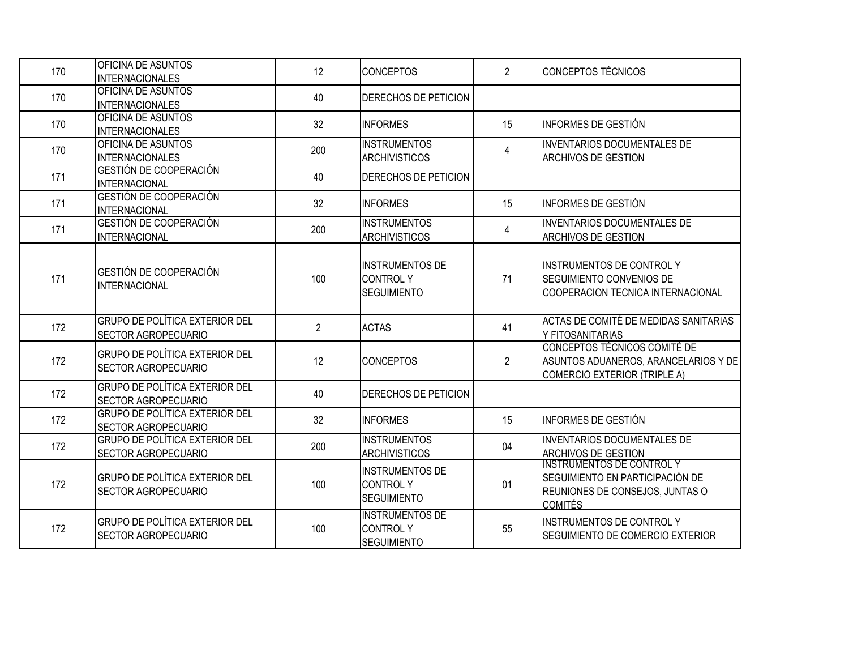| 170 | OFICINA DE ASUNTOS<br><b>INTERNACIONALES</b>                        | 12             | <b>CONCEPTOS</b>                                                | 2              | CONCEPTOS TÉCNICOS                                                                                                       |
|-----|---------------------------------------------------------------------|----------------|-----------------------------------------------------------------|----------------|--------------------------------------------------------------------------------------------------------------------------|
| 170 | OFICINA DE ASUNTOS<br><b>INTERNACIONALES</b>                        | 40             | DERECHOS DE PETICION                                            |                |                                                                                                                          |
| 170 | OFICINA DE ASUNTOS<br><b>INTERNACIONALES</b>                        | 32             | <b>INFORMES</b>                                                 | 15             | IINFORMES DE GESTIÓN                                                                                                     |
| 170 | OFICINA DE ASUNTOS<br><b>INTERNACIONALES</b>                        | 200            | <b>INSTRUMENTOS</b><br><b>ARCHIVISTICOS</b>                     | $\overline{4}$ | IINVENTARIOS DOCUMENTALES DE<br><b>ARCHIVOS DE GESTION</b>                                                               |
| 171 | GESTIÓN DE COOPERACIÓN<br><b>INTERNACIONAL</b>                      | 40             | DERECHOS DE PETICION                                            |                |                                                                                                                          |
| 171 | GESTIÓN DE COOPERACIÓN<br><b>INTERNACIONAL</b>                      | 32             | <b>INFORMES</b>                                                 | 15             | IINFORMES DE GESTIÓN                                                                                                     |
| 171 | GESTIÓN DE COOPERACIÓN<br><b>INTERNACIONAL</b>                      | 200            | <b>INSTRUMENTOS</b><br><b>ARCHIVISTICOS</b>                     | $\overline{4}$ | <b>INVENTARIOS DOCUMENTALES DE</b><br><b>ARCHIVOS DE GESTION</b>                                                         |
| 171 | GESTIÓN DE COOPERACIÓN<br><b>INTERNACIONAL</b>                      | 100            | <b>INSTRUMENTOS DE</b><br><b>CONTROLY</b><br><b>SEGUIMIENTO</b> | 71             | <b>INSTRUMENTOS DE CONTROL Y</b><br>SEGUIMIENTO CONVENIOS DE<br>COOPERACION TECNICA INTERNACIONAL                        |
| 172 | <b>GRUPO DE POLÍTICA EXTERIOR DEL</b><br><b>SECTOR AGROPECUARIO</b> | $\overline{2}$ | <b>ACTAS</b>                                                    | 41             | ACTAS DE COMITÉ DE MEDIDAS SANITARIAS<br>Y FITOSANITARIAS                                                                |
| 172 | <b>GRUPO DE POLÍTICA EXTERIOR DEL</b><br><b>SECTOR AGROPECUARIO</b> | 12             | <b>CONCEPTOS</b>                                                | $\overline{2}$ | CONCEPTOS TÉCNICOS COMITÉ DE<br>ASUNTOS ADUANEROS, ARANCELARIOS Y DE<br>COMERCIO EXTERIOR (TRIPLE A)                     |
| 172 | <b>GRUPO DE POLÍTICA EXTERIOR DEL</b><br>SECTOR AGROPECUARIO        | 40             | DERECHOS DE PETICION                                            |                |                                                                                                                          |
| 172 | <b>GRUPO DE POLÍTICA EXTERIOR DEL</b><br><b>SECTOR AGROPECUARIO</b> | 32             | <b>INFORMES</b>                                                 | 15             | INFORMES DE GESTIÓN                                                                                                      |
| 172 | <b>GRUPO DE POLÍTICA EXTERIOR DEL</b><br>SECTOR AGROPECUARIO        | 200            | <b>INSTRUMENTOS</b><br><b>ARCHIVISTICOS</b>                     | 04             | INVENTARIOS DOCUMENTALES DE<br><b>ARCHIVOS DE GESTION</b>                                                                |
| 172 | <b>GRUPO DE POLÍTICA EXTERIOR DEL</b><br><b>SECTOR AGROPECUARIO</b> | 100            | <b>INSTRUMENTOS DE</b><br><b>CONTROLY</b><br><b>SEGUIMIENTO</b> | 01             | <b>INSTRUMENTOS DE CONTROL Y</b><br>SEGUIMIENTO EN PARTICIPACIÓN DE<br>REUNIONES DE CONSEJOS, JUNTAS O<br><b>COMITÉS</b> |
| 172 | <b>GRUPO DE POLÍTICA EXTERIOR DEL</b><br><b>SECTOR AGROPECUARIO</b> | 100            | <b>INSTRUMENTOS DE</b><br><b>CONTROLY</b><br><b>SEGUIMIENTO</b> | 55             | <b>INSTRUMENTOS DE CONTROL Y</b><br>SEGUIMIENTO DE COMERCIO EXTERIOR                                                     |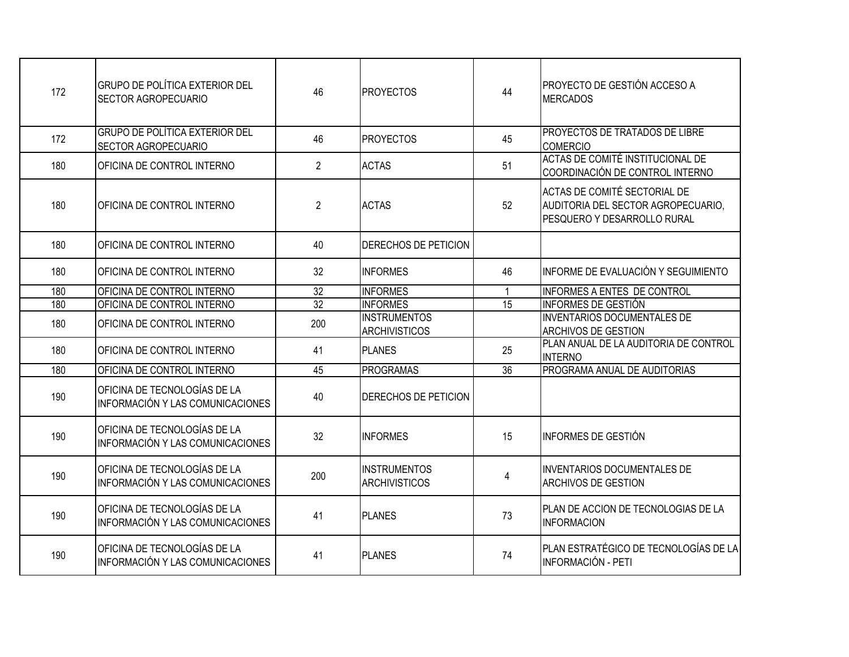| 172 | GRUPO DE POLÍTICA EXTERIOR DEL<br><b>SECTOR AGROPECUARIO</b>            | 46             | <b>PROYECTOS</b>                            | 44              | <b>PROYECTO DE GESTIÓN ACCESO A</b><br><b>MERCADOS</b>                                            |
|-----|-------------------------------------------------------------------------|----------------|---------------------------------------------|-----------------|---------------------------------------------------------------------------------------------------|
| 172 | <b>GRUPO DE POLÍTICA EXTERIOR DEL</b><br><b>SECTOR AGROPECUARIO</b>     | 46             | <b>PROYECTOS</b>                            | 45              | <b>PROYECTOS DE TRATADOS DE LIBRE</b><br><b>COMERCIO</b>                                          |
| 180 | <b>OFICINA DE CONTROL INTERNO</b>                                       | $\overline{2}$ | <b>ACTAS</b>                                | 51              | ACTAS DE COMITÉ INSTITUCIONAL DE<br>COORDINACIÓN DE CONTROL INTERNO                               |
| 180 | OFICINA DE CONTROL INTERNO                                              | $\overline{2}$ | <b>ACTAS</b>                                | 52              | ACTAS DE COMITÉ SECTORIAL DE<br>AUDITORIA DEL SECTOR AGROPECUARIO,<br>PESQUERO Y DESARROLLO RURAL |
| 180 | OFICINA DE CONTROL INTERNO                                              | 40             | DERECHOS DE PETICION                        |                 |                                                                                                   |
| 180 | OFICINA DE CONTROL INTERNO                                              | 32             | <b>INFORMES</b>                             | 46              | INFORME DE EVALUACIÓN Y SEGUIMIENTO                                                               |
| 180 | OFICINA DE CONTROL INTERNO                                              | 32             | <b>INFORMES</b>                             | $\mathbf{1}$    | INFORMES A ENTES DE CONTROL                                                                       |
| 180 | OFICINA DE CONTROL INTERNO                                              | 32             | <b>INFORMES</b>                             | 15              | <b>INFORMES DE GESTIÓN</b>                                                                        |
| 180 | OFICINA DE CONTROL INTERNO                                              | 200            | <b>INSTRUMENTOS</b><br><b>ARCHIVISTICOS</b> |                 | <b>INVENTARIOS DOCUMENTALES DE</b><br><b>ARCHIVOS DE GESTION</b>                                  |
| 180 | OFICINA DE CONTROL INTERNO                                              | 41             | <b>PLANES</b>                               | 25              | PLAN ANUAL DE LA AUDITORIA DE CONTROL<br><b>INTERNO</b>                                           |
| 180 | OFICINA DE CONTROL INTERNO                                              | 45             | <b>PROGRAMAS</b>                            | $\overline{36}$ | PROGRAMA ANUAL DE AUDITORIAS                                                                      |
| 190 | OFICINA DE TECNOLOGÍAS DE LA<br><b>INFORMACIÓN Y LAS COMUNICACIONES</b> | 40             | DERECHOS DE PETICION                        |                 |                                                                                                   |
| 190 | OFICINA DE TECNOLOGÍAS DE LA<br>INFORMACIÓN Y LAS COMUNICACIONES        | 32             | <b>INFORMES</b>                             | 15              | INFORMES DE GESTIÓN                                                                               |
| 190 | OFICINA DE TECNOLOGÍAS DE LA<br>INFORMACIÓN Y LAS COMUNICACIONES        | 200            | <b>INSTRUMENTOS</b><br><b>ARCHIVISTICOS</b> | $\overline{4}$  | <b>INVENTARIOS DOCUMENTALES DE</b><br><b>ARCHIVOS DE GESTION</b>                                  |
| 190 | OFICINA DE TECNOLOGÍAS DE LA<br>INFORMACIÓN Y LAS COMUNICACIONES        | 41             | <b>PLANES</b>                               | 73              | PLAN DE ACCION DE TECNOLOGIAS DE LA<br>INFORMACION                                                |
| 190 | OFICINA DE TECNOLOGÍAS DE LA<br>INFORMACIÓN Y LAS COMUNICACIONES        | 41             | PLANES                                      | 74              | PLAN ESTRATÉGICO DE TECNOLOGÍAS DE LA<br>INFORMACIÓN - PETI                                       |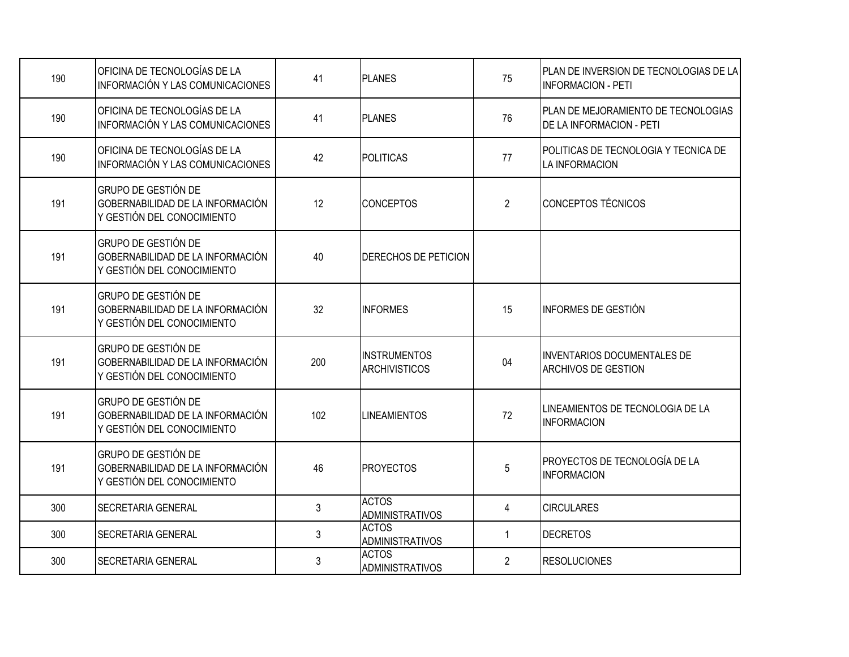| 190 | OFICINA DE TECNOLOGÍAS DE LA<br>INFORMACIÓN Y LAS COMUNICACIONES                             | 41             | <b>PLANES</b>                               | 75             | PLAN DE INVERSION DE TECNOLOGIAS DE LA<br><b>INFORMACION - PETI</b> |
|-----|----------------------------------------------------------------------------------------------|----------------|---------------------------------------------|----------------|---------------------------------------------------------------------|
| 190 | OFICINA DE TECNOLOGÍAS DE LA<br>INFORMACIÓN Y LAS COMUNICACIONES                             | 41             | PLANES                                      | 76             | PLAN DE MEJORAMIENTO DE TECNOLOGIAS<br>DE LA INFORMACION - PETI     |
| 190 | OFICINA DE TECNOLOGÍAS DE LA<br><b>INFORMACIÓN Y LAS COMUNICACIONES</b>                      | 42             | <b>POLITICAS</b>                            | 77             | POLITICAS DE TECNOLOGIA Y TECNICA DE<br>LA INFORMACION              |
| 191 | <b>GRUPO DE GESTIÓN DE</b><br>GOBERNABILIDAD DE LA INFORMACIÓN<br>Y GESTIÓN DEL CONOCIMIENTO | 12             | <b>CONCEPTOS</b>                            | $\overline{2}$ | CONCEPTOS TÉCNICOS                                                  |
| 191 | <b>GRUPO DE GESTIÓN DE</b><br>GOBERNABILIDAD DE LA INFORMACIÓN<br>Y GESTIÓN DEL CONOCIMIENTO | 40             | DERECHOS DE PETICION                        |                |                                                                     |
| 191 | GRUPO DE GESTIÓN DE<br>GOBERNABILIDAD DE LA INFORMACIÓN<br>Y GESTIÓN DEL CONOCIMIENTO        | 32             | <b>INFORMES</b>                             | 15             | INFORMES DE GESTIÓN                                                 |
| 191 | GRUPO DE GESTIÓN DE<br>GOBERNABILIDAD DE LA INFORMACIÓN<br>Y GESTIÓN DEL CONOCIMIENTO        | 200            | <b>INSTRUMENTOS</b><br><b>ARCHIVISTICOS</b> | 04             | <b>INVENTARIOS DOCUMENTALES DE</b><br><b>ARCHIVOS DE GESTION</b>    |
| 191 | <b>GRUPO DE GESTIÓN DE</b><br>GOBERNABILIDAD DE LA INFORMACIÓN<br>Y GESTIÓN DEL CONOCIMIENTO | 102            | <b>LINEAMIENTOS</b>                         | 72             | LINEAMIENTOS DE TECNOLOGIA DE LA<br>INFORMACION                     |
| 191 | GRUPO DE GESTIÓN DE<br>GOBERNABILIDAD DE LA INFORMACIÓN<br>Y GESTIÓN DEL CONOCIMIENTO        | 46             | <b>PROYECTOS</b>                            | 5              | PROYECTOS DE TECNOLOGÍA DE LA<br><b>INFORMACION</b>                 |
| 300 | <b>SECRETARIA GENERAL</b>                                                                    | $\mathfrak{Z}$ | <b>ACTOS</b><br><b>ADMINISTRATIVOS</b>      | 4              | <b>CIRCULARES</b>                                                   |
| 300 | <b>SECRETARIA GENERAL</b>                                                                    | 3              | <b>ACTOS</b><br><b>ADMINISTRATIVOS</b>      | $\mathbf{1}$   | <b>DECRETOS</b>                                                     |
| 300 | <b>SECRETARIA GENERAL</b>                                                                    | 3              | <b>ACTOS</b><br><b>ADMINISTRATIVOS</b>      | $\overline{2}$ | <b>RESOLUCIONES</b>                                                 |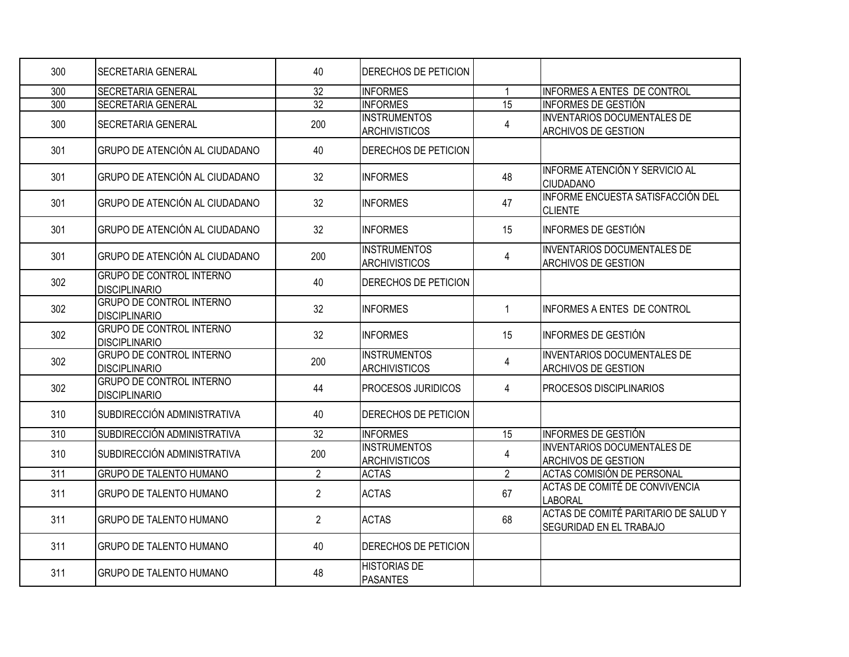| 300              | <b>SECRETARIA GENERAL</b>                               | 40              | <b>DERECHOS DE PETICION</b>                 |                 |                                                                        |
|------------------|---------------------------------------------------------|-----------------|---------------------------------------------|-----------------|------------------------------------------------------------------------|
| 300              | <b>SECRETARIA GENERAL</b>                               | $\overline{32}$ | <b>INFORMES</b>                             | $\mathbf{1}$    | INFORMES A ENTES DE CONTROL                                            |
| 300              | <b>SECRETARIA GENERAL</b>                               | 32              | <b>INFORMES</b>                             | 15              | <b>INFORMES DE GESTIÓN</b>                                             |
| 300              | <b>SECRETARIA GENERAL</b>                               | 200             | <b>INSTRUMENTOS</b><br><b>ARCHIVISTICOS</b> | 4               | <b>INVENTARIOS DOCUMENTALES DE</b><br><b>ARCHIVOS DE GESTION</b>       |
| 301              | GRUPO DE ATENCIÓN AL CIUDADANO                          | 40              | <b>DERECHOS DE PETICION</b>                 |                 |                                                                        |
| 301              | GRUPO DE ATENCIÓN AL CIUDADANO                          | 32              | <b>INFORMES</b>                             | 48              | INFORME ATENCIÓN Y SERVICIO AL<br><b>CIUDADANO</b>                     |
| 301              | GRUPO DE ATENCIÓN AL CIUDADANO                          | 32              | <b>INFORMES</b>                             | 47              | INFORME ENCUESTA SATISFACCIÓN DEL<br><b>CLIENTE</b>                    |
| 301              | GRUPO DE ATENCIÓN AL CIUDADANO                          | 32              | <b>INFORMES</b>                             | 15              | <b>INFORMES DE GESTIÓN</b>                                             |
| 301              | GRUPO DE ATENCIÓN AL CIUDADANO                          | 200             | <b>INSTRUMENTOS</b><br><b>ARCHIVISTICOS</b> | 4               | <b>INVENTARIOS DOCUMENTALES DE</b><br><b>ARCHIVOS DE GESTION</b>       |
| 302              | <b>GRUPO DE CONTROL INTERNO</b><br><b>DISCIPLINARIO</b> | 40              | <b>IDERECHOS DE PETICION</b>                |                 |                                                                        |
| 302              | <b>GRUPO DE CONTROL INTERNO</b><br><b>DISCIPLINARIO</b> | 32              | <b>INFORMES</b>                             | $\mathbf{1}$    | INFORMES A ENTES DE CONTROL                                            |
| 302              | <b>GRUPO DE CONTROL INTERNO</b><br><b>DISCIPLINARIO</b> | 32              | <b>INFORMES</b>                             | 15              | <b>INFORMES DE GESTIÓN</b>                                             |
| 302              | <b>GRUPO DE CONTROL INTERNO</b><br><b>DISCIPLINARIO</b> | 200             | <b>INSTRUMENTOS</b><br><b>ARCHIVISTICOS</b> | 4               | <b>INVENTARIOS DOCUMENTALES DE</b><br><b>ARCHIVOS DE GESTION</b>       |
| 302              | <b>GRUPO DE CONTROL INTERNO</b><br><b>DISCIPLINARIO</b> | 44              | <b>PROCESOS JURIDICOS</b>                   | 4               | <b>IPROCESOS DISCIPLINARIOS</b>                                        |
| 310              | SUBDIRECCIÓN ADMINISTRATIVA                             | 40              | <b>DERECHOS DE PETICION</b>                 |                 |                                                                        |
| $\overline{310}$ | SUBDIRECCIÓN ADMINISTRATIVA                             | $\overline{32}$ | <b>INFORMES</b>                             | $\overline{15}$ | <b>INFORMES DE GESTIÓN</b>                                             |
| 310              | SUBDIRECCIÓN ADMINISTRATIVA                             | 200             | <b>INSTRUMENTOS</b><br><b>ARCHIVISTICOS</b> | 4               | <b>INVENTARIOS DOCUMENTALES DE</b><br><b>ARCHIVOS DE GESTION</b>       |
| 311              | <b>GRUPO DE TALENTO HUMANO</b>                          | $\overline{2}$  | <b>ACTAS</b>                                | $\overline{2}$  | ACTAS COMISIÓN DE PERSONAL                                             |
| 311              | <b>GRUPO DE TALENTO HUMANO</b>                          | $\overline{2}$  | <b>ACTAS</b>                                | 67              | ACTAS DE COMITÉ DE CONVIVENCIA<br><b>LABORAL</b>                       |
| 311              | <b>GRUPO DE TALENTO HUMANO</b>                          | $\overline{2}$  | <b>ACTAS</b>                                | 68              | ACTAS DE COMITÉ PARITARIO DE SALUD Y<br><b>SEGURIDAD EN EL TRABAJO</b> |
| 311              | <b>GRUPO DE TALENTO HUMANO</b>                          | 40              | <b>DERECHOS DE PETICION</b>                 |                 |                                                                        |
| 311              | <b>GRUPO DE TALENTO HUMANO</b>                          | 48              | <b>HISTORIAS DE</b><br>PASANTES             |                 |                                                                        |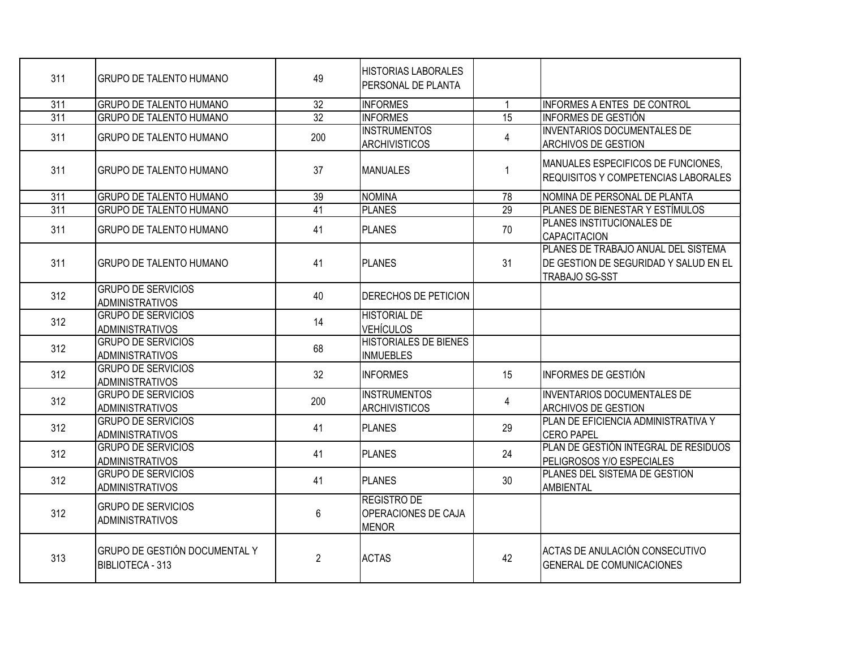| 311              | <b>GRUPO DE TALENTO HUMANO</b>                      | 49              | <b>HISTORIAS LABORALES</b><br>PERSONAL DE PLANTA          |                 |                                                                                                       |
|------------------|-----------------------------------------------------|-----------------|-----------------------------------------------------------|-----------------|-------------------------------------------------------------------------------------------------------|
| $\overline{311}$ | <b>GRUPO DE TALENTO HUMANO</b>                      | $\overline{32}$ | <b>INFORMES</b>                                           | $\overline{1}$  | INFORMES A ENTES DE CONTROL                                                                           |
| $\overline{311}$ | <b>GRUPO DE TALENTO HUMANO</b>                      | 32              | <b>INFORMES</b>                                           | $\overline{15}$ | <b>INFORMES DE GESTIÓN</b>                                                                            |
| 311              | <b>GRUPO DE TALENTO HUMANO</b>                      | 200             | <b>INSTRUMENTOS</b><br><b>ARCHIVISTICOS</b>               | 4               | <b>INVENTARIOS DOCUMENTALES DE</b><br><b>ARCHIVOS DE GESTION</b>                                      |
| 311              | <b>GRUPO DE TALENTO HUMANO</b>                      | 37              | <b>MANUALES</b>                                           | $\mathbf 1$     | MANUALES ESPECIFICOS DE FUNCIONES.<br><b>REQUISITOS Y COMPETENCIAS LABORALES</b>                      |
| 311              | <b>GRUPO DE TALENTO HUMANO</b>                      | 39              | NOMINA                                                    | 78              | NOMINA DE PERSONAL DE PLANTA                                                                          |
| 311              | <b>GRUPO DE TALENTO HUMANO</b>                      | 41              | <b>PLANES</b>                                             | 29              | <b>PLANES DE BIENESTAR Y ESTÍMULOS</b>                                                                |
| 311              | <b>GRUPO DE TALENTO HUMANO</b>                      | 41              | PLANES                                                    | 70              | PLANES INSTITUCIONALES DE<br><b>CAPACITACION</b>                                                      |
| 311              | <b>GRUPO DE TALENTO HUMANO</b>                      | 41              | <b>PLANES</b>                                             | 31              | PLANES DE TRABAJO ANUAL DEL SISTEMA<br>DE GESTION DE SEGURIDAD Y SALUD EN EL<br><b>TRABAJO SG-SST</b> |
| 312              | <b>GRUPO DE SERVICIOS</b><br><b>ADMINISTRATIVOS</b> | 40              | DERECHOS DE PETICION                                      |                 |                                                                                                       |
| 312              | <b>GRUPO DE SERVICIOS</b><br><b>ADMINISTRATIVOS</b> | 14              | <b>HISTORIAL DE</b><br><b>VEHÍCULOS</b>                   |                 |                                                                                                       |
| 312              | <b>GRUPO DE SERVICIOS</b><br><b>ADMINISTRATIVOS</b> | 68              | <b>HISTORIALES DE BIENES</b><br><b>INMUEBLES</b>          |                 |                                                                                                       |
| 312              | <b>GRUPO DE SERVICIOS</b><br><b>ADMINISTRATIVOS</b> | 32              | <b>INFORMES</b>                                           | 15              | <b>INFORMES DE GESTIÓN</b>                                                                            |
| 312              | <b>GRUPO DE SERVICIOS</b><br><b>ADMINISTRATIVOS</b> | 200             | <b>INSTRUMENTOS</b><br><b>ARCHIVISTICOS</b>               | 4               | <b>INVENTARIOS DOCUMENTALES DE</b><br><b>ARCHIVOS DE GESTION</b>                                      |
| 312              | <b>GRUPO DE SERVICIOS</b><br><b>ADMINISTRATIVOS</b> | 41              | <b>PLANES</b>                                             | 29              | PLAN DE EFICIENCIA ADMINISTRATIVA Y<br><b>CERO PAPEL</b>                                              |
| 312              | <b>GRUPO DE SERVICIOS</b><br><b>ADMINISTRATIVOS</b> | 41              | <b>PLANES</b>                                             | 24              | PLAN DE GESTIÓN INTEGRAL DE RESIDUOS<br>PELIGROSOS Y/O ESPECIALES                                     |
| 312              | <b>GRUPO DE SERVICIOS</b><br><b>ADMINISTRATIVOS</b> | 41              | <b>PLANES</b>                                             | 30              | PLANES DEL SISTEMA DE GESTION<br><b>AMBIENTAL</b>                                                     |
| 312              | <b>GRUPO DE SERVICIOS</b><br><b>ADMINISTRATIVOS</b> | 6               | <b>REGISTRO DE</b><br>OPERACIONES DE CAJA<br><b>MENOR</b> |                 |                                                                                                       |
| 313              | GRUPO DE GESTIÓN DOCUMENTAL Y<br>BIBLIOTECA - 313   | $\overline{2}$  | <b>ACTAS</b>                                              | 42              | ACTAS DE ANULACIÓN CONSECUTIVO<br><b>GENERAL DE COMUNICACIONES</b>                                    |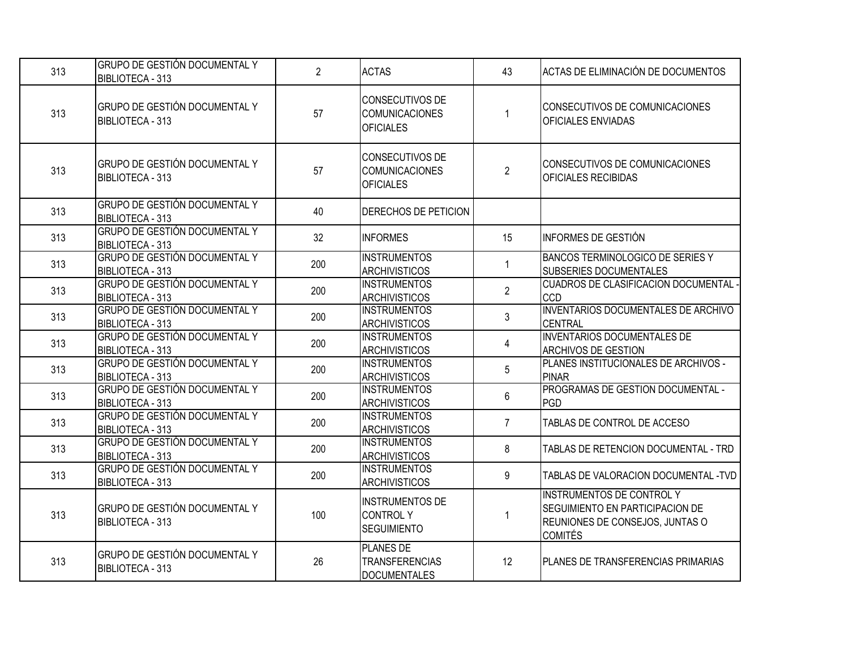| 313 | <b>GRUPO DE GESTIÓN DOCUMENTAL Y</b><br>BIBLIOTECA - 313 | $\overline{2}$ | <b>ACTAS</b>                                                     | 43                | ACTAS DE ELIMINACIÓN DE DOCUMENTOS                                                                                       |
|-----|----------------------------------------------------------|----------------|------------------------------------------------------------------|-------------------|--------------------------------------------------------------------------------------------------------------------------|
| 313 | GRUPO DE GESTIÓN DOCUMENTAL Y<br>BIBLIOTECA - 313        | 57             | CONSECUTIVOS DE<br><b>COMUNICACIONES</b><br><b>OFICIALES</b>     | -1                | CONSECUTIVOS DE COMUNICACIONES<br>OFICIALES ENVIADAS                                                                     |
| 313 | GRUPO DE GESTIÓN DOCUMENTAL Y<br>BIBLIOTECA - 313        | 57             | CONSECUTIVOS DE<br><b>COMUNICACIONES</b><br><b>OFICIALES</b>     | $\overline{2}$    | CONSECUTIVOS DE COMUNICACIONES<br>OFICIALES RECIBIDAS                                                                    |
| 313 | GRUPO DE GESTIÓN DOCUMENTAL Y<br>BIBLIOTECA - 313        | 40             | <b>DERECHOS DE PETICION</b>                                      |                   |                                                                                                                          |
| 313 | GRUPO DE GESTIÓN DOCUMENTAL Y<br>BIBLIOTECA - 313        | 32             | <b>INFORMES</b>                                                  | 15                | INFORMES DE GESTIÓN                                                                                                      |
| 313 | GRUPO DE GESTIÓN DOCUMENTAL Y<br>BIBLIOTECA - 313        | 200            | <b>INSTRUMENTOS</b><br><b>ARCHIVISTICOS</b>                      | 1                 | BANCOS TERMINOLOGICO DE SERIES Y<br><b>SUBSERIES DOCUMENTALES</b>                                                        |
| 313 | <b>GRUPO DE GESTIÓN DOCUMENTAL Y</b><br>BIBLIOTECA - 313 | 200            | <b>INSTRUMENTOS</b><br><b>ARCHIVISTICOS</b>                      | $\overline{2}$    | CUADROS DE CLASIFICACION DOCUMENTAL<br><b>CCD</b>                                                                        |
| 313 | <b>GRUPO DE GESTIÓN DOCUMENTAL Y</b><br>BIBLIOTECA - 313 | 200            | <b>INSTRUMENTOS</b><br><b>ARCHIVISTICOS</b>                      | 3                 | <b>INVENTARIOS DOCUMENTALES DE ARCHIVO</b><br><b>CENTRAL</b>                                                             |
| 313 | <b>GRUPO DE GESTIÓN DOCUMENTAL Y</b><br>BIBLIOTECA - 313 | 200            | <b>INSTRUMENTOS</b><br><b>ARCHIVISTICOS</b>                      | $\overline{4}$    | <b>INVENTARIOS DOCUMENTALES DE</b><br>ARCHIVOS DE GESTION                                                                |
| 313 | GRUPO DE GESTIÓN DOCUMENTAL Y<br>BIBLIOTECA - 313        | 200            | <b>INSTRUMENTOS</b><br><b>ARCHIVISTICOS</b>                      | 5                 | PLANES INSTITUCIONALES DE ARCHIVOS -<br><b>PINAR</b>                                                                     |
| 313 | GRUPO DE GESTIÓN DOCUMENTAL Y<br>BIBLIOTECA - 313        | 200            | <b>INSTRUMENTOS</b><br><b>ARCHIVISTICOS</b>                      | 6                 | PROGRAMAS DE GESTION DOCUMENTAL -<br>PGD                                                                                 |
| 313 | <b>GRUPO DE GESTIÓN DOCUMENTAL Y</b><br>BIBLIOTECA - 313 | 200            | <b>INSTRUMENTOS</b><br><b>ARCHIVISTICOS</b>                      | $\overline{7}$    | TABLAS DE CONTROL DE ACCESO                                                                                              |
| 313 | <b>GRUPO DE GESTIÓN DOCUMENTAL Y</b><br>BIBLIOTECA - 313 | 200            | <b>INSTRUMENTOS</b><br><b>ARCHIVISTICOS</b>                      | 8                 | TABLAS DE RETENCION DOCUMENTAL - TRD                                                                                     |
| 313 | GRUPO DE GESTIÓN DOCUMENTAL Y<br>BIBLIOTECA - 313        | 200            | <b>INSTRUMENTOS</b><br><b>ARCHIVISTICOS</b>                      | 9                 | TABLAS DE VALORACION DOCUMENTAL -TVD                                                                                     |
| 313 | GRUPO DE GESTIÓN DOCUMENTAL Y<br>BIBLIOTECA - 313        | 100            | <b>INSTRUMENTOS DE</b><br><b>CONTROLY</b><br><b>SEGUIMIENTO</b>  | -1                | <b>INSTRUMENTOS DE CONTROL Y</b><br>SEGUIMIENTO EN PARTICIPACION DE<br>REUNIONES DE CONSEJOS, JUNTAS O<br><b>COMITÉS</b> |
| 313 | GRUPO DE GESTIÓN DOCUMENTAL Y<br>BIBLIOTECA - 313        | 26             | <b>PLANES DE</b><br><b>TRANSFERENCIAS</b><br><b>DOCUMENTALES</b> | $12 \overline{ }$ | PLANES DE TRANSFERENCIAS PRIMARIAS                                                                                       |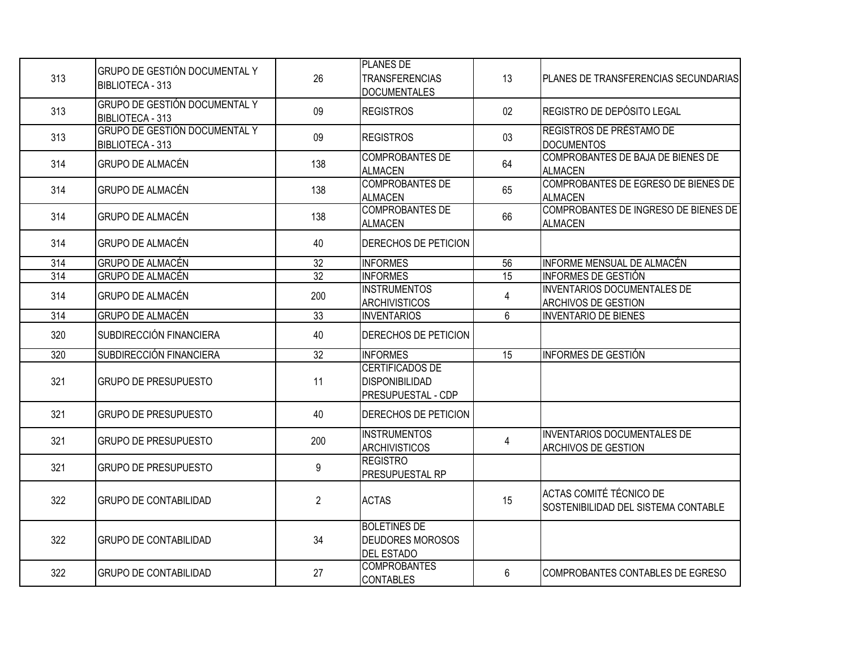| 313              | GRUPO DE GESTIÓN DOCUMENTAL Y<br><b>BIBLIOTECA - 313</b>        | 26              | <b>PLANES DE</b><br><b>TRANSFERENCIAS</b><br><b>DOCUMENTALES</b>             | 13              | PLANES DE TRANSFERENCIAS SECUNDARIAS                             |
|------------------|-----------------------------------------------------------------|-----------------|------------------------------------------------------------------------------|-----------------|------------------------------------------------------------------|
| 313              | <b>GRUPO DE GESTIÓN DOCUMENTAL Y</b><br><b>BIBLIOTECA - 313</b> | 09              | <b>REGISTROS</b>                                                             | 02 <sub>2</sub> | REGISTRO DE DEPÓSITO LEGAL                                       |
| 313              | GRUPO DE GESTIÓN DOCUMENTAL Y<br>BIBLIOTECA - 313               | 09              | <b>REGISTROS</b>                                                             | 03              | REGISTROS DE PRÉSTAMO DE<br><b>DOCUMENTOS</b>                    |
| 314              | <b>GRUPO DE ALMACÉN</b>                                         | 138             | <b>COMPROBANTES DE</b><br><b>ALMACEN</b>                                     | 64              | COMPROBANTES DE BAJA DE BIENES DE<br><b>ALMACEN</b>              |
| 314              | <b>GRUPO DE ALMACÉN</b>                                         | 138             | <b>COMPROBANTES DE</b><br><b>ALMACEN</b>                                     | 65              | COMPROBANTES DE EGRESO DE BIENES DE<br><b>ALMACEN</b>            |
| 314              | <b>I</b> GRUPO DE ALMACÉN                                       | 138             | <b>COMPROBANTES DE</b><br><b>ALMACEN</b>                                     | 66              | COMPROBANTES DE INGRESO DE BIENES DE<br><b>ALMACEN</b>           |
| 314              | <b>GRUPO DE ALMACÉN</b>                                         | 40              | DERECHOS DE PETICION                                                         |                 |                                                                  |
| $\overline{314}$ | <b>GRUPO DE ALMACÉN</b>                                         | 32              | <b>INFORMES</b>                                                              | 56              | INFORME MENSUAL DE ALMACÉN                                       |
| $\overline{314}$ | <b>GRUPO DE ALMACÉN</b>                                         | $\overline{32}$ | <b>INFORMES</b>                                                              | $\overline{15}$ | <b>INFORMES DE GESTIÓN</b>                                       |
| 314              | <b>GRUPO DE ALMACÉN</b>                                         | 200             | <b>INSTRUMENTOS</b><br><b>ARCHIVISTICOS</b>                                  | 4               | <b>INVENTARIOS DOCUMENTALES DE</b><br>ARCHIVOS DE GESTION        |
| $\overline{314}$ | <b>GRUPO DE ALMACÉN</b>                                         | 33              | <b>INVENTARIOS</b>                                                           | 6               | <b>INVENTARIO DE BIENES</b>                                      |
| 320              | SUBDIRECCIÓN FINANCIERA                                         | 40              | DERECHOS DE PETICION                                                         |                 |                                                                  |
| 320              | SUBDIRECCIÓN FINANCIERA                                         | 32              | <b>INFORMES</b>                                                              | 15              | <b>INFORMES DE GESTIÓN</b>                                       |
| 321              | <b>GRUPO DE PRESUPUESTO</b>                                     | 11              | <b>CERTIFICADOS DE</b><br><b>DISPONIBILIDAD</b><br><b>PRESUPUESTAL - CDP</b> |                 |                                                                  |
| 321              | <b>I</b> GRUPO DE PRESUPUESTO                                   | 40              | <b>DERECHOS DE PETICION</b>                                                  |                 |                                                                  |
| 321              | <b>GRUPO DE PRESUPUESTO</b>                                     | 200             | <b>INSTRUMENTOS</b><br><b>ARCHIVISTICOS</b>                                  | 4               | <b>INVENTARIOS DOCUMENTALES DE</b><br><b>ARCHIVOS DE GESTION</b> |
| 321              | <b>GRUPO DE PRESUPUESTO</b>                                     | 9               | <b>REGISTRO</b><br><b>PRESUPUESTAL RP</b>                                    |                 |                                                                  |
| 322              | <b>GRUPO DE CONTABILIDAD</b>                                    | $\overline{2}$  | <b>ACTAS</b>                                                                 | 15              | ACTAS COMITÉ TÉCNICO DE<br>SOSTENIBILIDAD DEL SISTEMA CONTABLE   |
| 322              | <b>GRUPO DE CONTABILIDAD</b>                                    | 34              | <b>BOLETINES DE</b><br><b>DEUDORES MOROSOS</b><br><b>DEL ESTADO</b>          |                 |                                                                  |
| 322              | <b>GRUPO DE CONTABILIDAD</b>                                    | 27              | <b>COMPROBANTES</b><br><b>CONTABLES</b>                                      | $6\phantom{1}6$ | COMPROBANTES CONTABLES DE EGRESO                                 |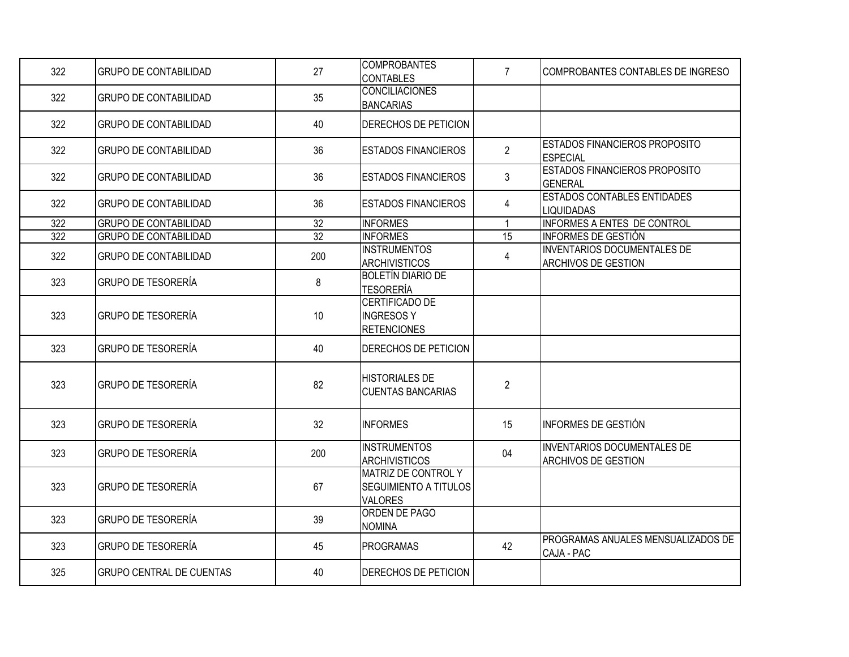| 322 | IGRUPO DE CONTABILIDAD          | 27  | <b>COMPROBANTES</b><br><b>CONTABLES</b>                               | $\overline{7}$ | COMPROBANTES CONTABLES DE INGRESO                                |
|-----|---------------------------------|-----|-----------------------------------------------------------------------|----------------|------------------------------------------------------------------|
| 322 | <b>GRUPO DE CONTABILIDAD</b>    | 35  | <b>CONCILIACIONES</b><br><b>BANCARIAS</b>                             |                |                                                                  |
| 322 | <b>GRUPO DE CONTABILIDAD</b>    | 40  | DERECHOS DE PETICION                                                  |                |                                                                  |
| 322 | <b>GRUPO DE CONTABILIDAD</b>    | 36  | <b>ESTADOS FINANCIEROS</b>                                            | $\overline{2}$ | <b>ESTADOS FINANCIEROS PROPOSITO</b><br><b>ESPECIAL</b>          |
| 322 | <b>GRUPO DE CONTABILIDAD</b>    | 36  | <b>ESTADOS FINANCIEROS</b>                                            | $\mathfrak{Z}$ | <b>ESTADOS FINANCIEROS PROPOSITO</b><br><b>GENERAL</b>           |
| 322 | <b>GRUPO DE CONTABILIDAD</b>    | 36  | <b>ESTADOS FINANCIEROS</b>                                            | 4              | <b>ESTADOS CONTABLES ENTIDADES</b><br><b>LIQUIDADAS</b>          |
| 322 | <b>GRUPO DE CONTABILIDAD</b>    | 32  | <b>INFORMES</b>                                                       | $\mathbf{1}$   | INFORMES A ENTES DE CONTROL                                      |
| 322 | <b>GRUPO DE CONTABILIDAD</b>    | 32  | <b>INFORMES</b>                                                       | 15             | INFORMES DE GESTIÓN                                              |
| 322 | <b>GRUPO DE CONTABILIDAD</b>    | 200 | <b>INSTRUMENTOS</b><br><b>ARCHIVISTICOS</b>                           | $\overline{4}$ | INVENTARIOS DOCUMENTALES DE<br><b>ARCHIVOS DE GESTION</b>        |
| 323 | <b>GRUPO DE TESORERÍA</b>       | 8   | <b>BOLETÍN DIARIO DE</b><br><b>TESORERÍA</b>                          |                |                                                                  |
| 323 | <b>GRUPO DE TESORERÍA</b>       | 10  | <b>CERTIFICADO DE</b><br><b>INGRESOSY</b><br><b>RETENCIONES</b>       |                |                                                                  |
| 323 | <b>GRUPO DE TESORERÍA</b>       | 40  | <b>DERECHOS DE PETICION</b>                                           |                |                                                                  |
| 323 | <b>I</b> GRUPO DE TESORERÍA     | 82  | <b>HISTORIALES DE</b><br><b>CUENTAS BANCARIAS</b>                     | $\overline{2}$ |                                                                  |
| 323 | <b>GRUPO DE TESORERÍA</b>       | 32  | <b>INFORMES</b>                                                       | 15             | INFORMES DE GESTIÓN                                              |
| 323 | <b>GRUPO DE TESORERÍA</b>       | 200 | <b>INSTRUMENTOS</b><br><b>ARCHIVISTICOS</b>                           | 04             | <b>INVENTARIOS DOCUMENTALES DE</b><br><b>ARCHIVOS DE GESTION</b> |
| 323 | <b>I</b> GRUPO DE TESORERÍA     | 67  | MATRIZ DE CONTROL Y<br><b>SEGUIMIENTO A TITULOS</b><br><b>VALORES</b> |                |                                                                  |
| 323 | <b>I</b> GRUPO DE TESORERÍA     | 39  | ORDEN DE PAGO<br><b>NOMINA</b>                                        |                |                                                                  |
| 323 | <b>GRUPO DE TESORERÍA</b>       | 45  | <b>PROGRAMAS</b>                                                      | 42             | PROGRAMAS ANUALES MENSUALIZADOS DE<br>CAJA - PAC                 |
| 325 | <b>GRUPO CENTRAL DE CUENTAS</b> | 40  | DERECHOS DE PETICION                                                  |                |                                                                  |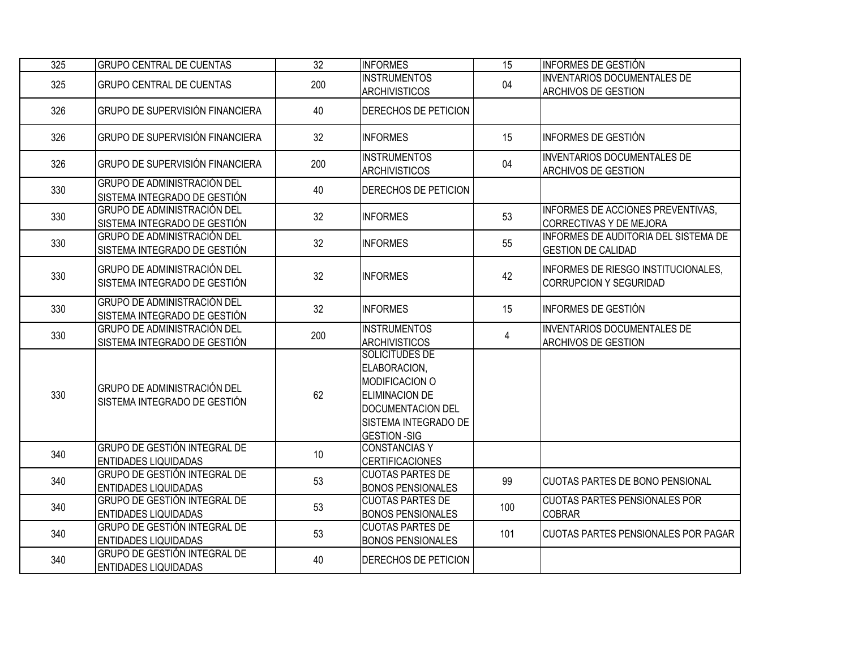| 325 | <b>GRUPO CENTRAL DE CUENTAS</b>                                    | $\overline{32}$ | <b>INFORMES</b>                                                                                                                                             | 15  | <b>INFORMES DE GESTIÓN</b>                                           |
|-----|--------------------------------------------------------------------|-----------------|-------------------------------------------------------------------------------------------------------------------------------------------------------------|-----|----------------------------------------------------------------------|
| 325 | <b>GRUPO CENTRAL DE CUENTAS</b>                                    | 200             | <b>INSTRUMENTOS</b><br><b>ARCHIVISTICOS</b>                                                                                                                 | 04  | <b>INVENTARIOS DOCUMENTALES DE</b><br><b>ARCHIVOS DE GESTION</b>     |
| 326 | <b>GRUPO DE SUPERVISIÓN FINANCIERA</b>                             | 40              | <b>DERECHOS DE PETICION</b>                                                                                                                                 |     |                                                                      |
| 326 | GRUPO DE SUPERVISIÓN FINANCIERA                                    | 32              | <b>INFORMES</b>                                                                                                                                             | 15  | INFORMES DE GESTIÓN                                                  |
| 326 | <b>GRUPO DE SUPERVISIÓN FINANCIERA</b>                             | 200             | <b>INSTRUMENTOS</b><br>ARCHIVISTICOS                                                                                                                        | 04  | <b>INVENTARIOS DOCUMENTALES DE</b><br><b>ARCHIVOS DE GESTION</b>     |
| 330 | <b>GRUPO DE ADMINISTRACIÓN DEL</b><br>SISTEMA INTEGRADO DE GESTIÓN | 40              | DERECHOS DE PETICION                                                                                                                                        |     |                                                                      |
| 330 | GRUPO DE ADMINISTRACIÓN DEL<br>SISTEMA INTEGRADO DE GESTIÓN        | 32              | <b>INFORMES</b>                                                                                                                                             | 53  | INFORMES DE ACCIONES PREVENTIVAS,<br>CORRECTIVAS Y DE MEJORA         |
| 330 | GRUPO DE ADMINISTRACIÓN DEL<br>SISTEMA INTEGRADO DE GESTIÓN        | 32              | <b>INFORMES</b>                                                                                                                                             | 55  | INFORMES DE AUDITORIA DEL SISTEMA DE<br><b>GESTION DE CALIDAD</b>    |
| 330 | <b>GRUPO DE ADMINISTRACIÓN DEL</b><br>SISTEMA INTEGRADO DE GESTIÓN | 32              | <b>INFORMES</b>                                                                                                                                             | 42  | INFORMES DE RIESGO INSTITUCIONALES,<br><b>CORRUPCION Y SEGURIDAD</b> |
| 330 | <b>GRUPO DE ADMINISTRACIÓN DEL</b><br>SISTEMA INTEGRADO DE GESTIÓN | 32              | <b>INFORMES</b>                                                                                                                                             | 15  | INFORMES DE GESTIÓN                                                  |
| 330 | <b>GRUPO DE ADMINISTRACIÓN DEL</b><br>SISTEMA INTEGRADO DE GESTIÓN | 200             | <b>INSTRUMENTOS</b><br><b>ARCHIVISTICOS</b>                                                                                                                 | 4   | <b>INVENTARIOS DOCUMENTALES DE</b><br><b>ARCHIVOS DE GESTION</b>     |
| 330 | <b>GRUPO DE ADMINISTRACIÓN DEL</b><br>SISTEMA INTEGRADO DE GESTIÓN | 62              | <b>SOLICITUDES DE</b><br>ELABORACION,<br><b>MODIFICACION O</b><br><b>ELIMINACION DE</b><br>DOCUMENTACION DEL<br>SISTEMA INTEGRADO DE<br><b>GESTION -SIG</b> |     |                                                                      |
| 340 | <b>GRUPO DE GESTIÓN INTEGRAL DE</b><br><b>ENTIDADES LIQUIDADAS</b> | 10              | <b>CONSTANCIAS Y</b><br><b>CERTIFICACIONES</b>                                                                                                              |     |                                                                      |
| 340 | <b>GRUPO DE GESTIÓN INTEGRAL DE</b><br><b>ENTIDADES LIQUIDADAS</b> | 53              | <b>CUOTAS PARTES DE</b><br><b>BONOS PENSIONALES</b>                                                                                                         | 99  | <b>CUOTAS PARTES DE BONO PENSIONAL</b>                               |
| 340 | <b>GRUPO DE GESTIÓN INTEGRAL DE</b><br>ENTIDADES LIQUIDADAS        | 53              | <b>CUOTAS PARTES DE</b><br><b>BONOS PENSIONALES</b>                                                                                                         | 100 | <b>CUOTAS PARTES PENSIONALES POR</b><br><b>COBRAR</b>                |
| 340 | <b>GRUPO DE GESTIÓN INTEGRAL DE</b><br><b>ENTIDADES LIQUIDADAS</b> | 53              | <b>CUOTAS PARTES DE</b><br><b>BONOS PENSIONALES</b>                                                                                                         | 101 | <b>CUOTAS PARTES PENSIONALES POR PAGAR</b>                           |
| 340 | GRUPO DE GESTIÓN INTEGRAL DE<br><b>ENTIDADES LIQUIDADAS</b>        | 40              | DERECHOS DE PETICION                                                                                                                                        |     |                                                                      |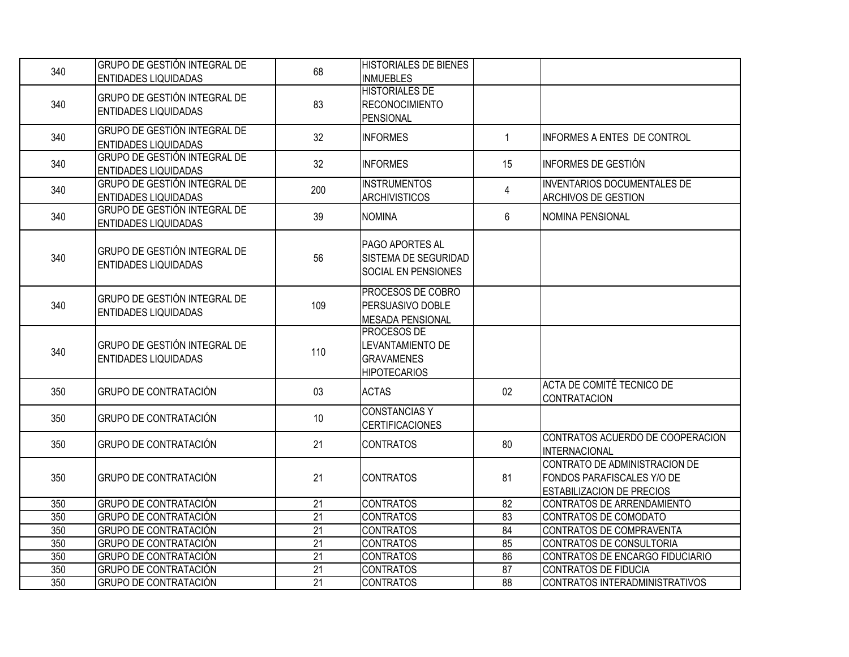| 340 | <b>GRUPO DE GESTIÓN INTEGRAL DE</b><br><b>ENTIDADES LIQUIDADAS</b> | 68              | <b>HISTORIALES DE BIENES</b><br><b>INMUEBLES</b>                                   |              |                                                                                                 |
|-----|--------------------------------------------------------------------|-----------------|------------------------------------------------------------------------------------|--------------|-------------------------------------------------------------------------------------------------|
| 340 | GRUPO DE GESTIÓN INTEGRAL DE<br><b>ENTIDADES LIQUIDADAS</b>        | 83              | <b>HISTORIALES DE</b><br><b>RECONOCIMIENTO</b><br>PENSIONAL                        |              |                                                                                                 |
| 340 | <b>GRUPO DE GESTIÓN INTEGRAL DE</b><br><b>ENTIDADES LIQUIDADAS</b> | 32              | <b>INFORMES</b>                                                                    | $\mathbf{1}$ | INFORMES A ENTES DE CONTROL                                                                     |
| 340 | <b>GRUPO DE GESTIÓN INTEGRAL DE</b><br><b>ENTIDADES LIQUIDADAS</b> | 32              | <b>INFORMES</b>                                                                    | 15           | INFORMES DE GESTIÓN                                                                             |
| 340 | <b>GRUPO DE GESTIÓN INTEGRAL DE</b><br><b>ENTIDADES LIQUIDADAS</b> | 200             | <b>INSTRUMENTOS</b><br><b>ARCHIVISTICOS</b>                                        | 4            | <b>INVENTARIOS DOCUMENTALES DE</b><br><b>ARCHIVOS DE GESTION</b>                                |
| 340 | <b>GRUPO DE GESTIÓN INTEGRAL DE</b><br><b>ENTIDADES LIQUIDADAS</b> | 39              | <b>NOMINA</b>                                                                      | 6            | NOMINA PENSIONAL                                                                                |
| 340 | <b>GRUPO DE GESTIÓN INTEGRAL DE</b><br><b>ENTIDADES LIQUIDADAS</b> | 56              | <b>PAGO APORTES AL</b><br>SISTEMA DE SEGURIDAD<br><b>SOCIAL EN PENSIONES</b>       |              |                                                                                                 |
| 340 | GRUPO DE GESTIÓN INTEGRAL DE<br><b>ENTIDADES LIQUIDADAS</b>        | 109             | <b>PROCESOS DE COBRO</b><br>PERSUASIVO DOBLE<br><b>MESADA PENSIONAL</b>            |              |                                                                                                 |
| 340 | <b>GRUPO DE GESTIÓN INTEGRAL DE</b><br><b>ENTIDADES LIQUIDADAS</b> | 110             | <b>PROCESOS DE</b><br>LEVANTAMIENTO DE<br><b>GRAVAMENES</b><br><b>HIPOTECARIOS</b> |              |                                                                                                 |
| 350 | <b>GRUPO DE CONTRATACIÓN</b>                                       | 03              | <b>ACTAS</b>                                                                       | 02           | ACTA DE COMITÉ TECNICO DE<br>CONTRATACION                                                       |
| 350 | <b>GRUPO DE CONTRATACIÓN</b>                                       | 10              | <b>CONSTANCIAS Y</b><br><b>CERTIFICACIONES</b>                                     |              |                                                                                                 |
| 350 | <b>GRUPO DE CONTRATACIÓN</b>                                       | 21              | <b>CONTRATOS</b>                                                                   | 80           | CONTRATOS ACUERDO DE COOPERACION<br><b>INTERNACIONAL</b>                                        |
| 350 | <b>GRUPO DE CONTRATACIÓN</b>                                       | 21              | <b>CONTRATOS</b>                                                                   | 81           | CONTRATO DE ADMINISTRACION DE<br>FONDOS PARAFISCALES Y/O DE<br><b>ESTABILIZACION DE PRECIOS</b> |
| 350 | <b>GRUPO DE CONTRATACIÓN</b>                                       | $\overline{21}$ | <b>CONTRATOS</b>                                                                   | 82           | CONTRATOS DE ARRENDAMIENTO                                                                      |
| 350 | <b>GRUPO DE CONTRATACIÓN</b>                                       | $\overline{21}$ | <b>CONTRATOS</b>                                                                   | 83           | CONTRATOS DE COMODATO                                                                           |
| 350 | <b>GRUPO DE CONTRATACIÓN</b>                                       | $\overline{21}$ | <b>CONTRATOS</b>                                                                   | 84           | CONTRATOS DE COMPRAVENTA                                                                        |
| 350 | <b>GRUPO DE CONTRATACIÓN</b>                                       | 21              | <b>CONTRATOS</b>                                                                   | 85           | CONTRATOS DE CONSULTORIA                                                                        |
| 350 | <b>GRUPO DE CONTRATACIÓN</b>                                       | $\overline{21}$ | <b>CONTRATOS</b>                                                                   | 86           | CONTRATOS DE ENCARGO FIDUCIARIO                                                                 |
| 350 | GRUPO DE CONTRATACIÓN                                              | $\overline{21}$ | <b>CONTRATOS</b>                                                                   | 87           | <b>CONTRATOS DE FIDUCIA</b>                                                                     |
| 350 | <b>GRUPO DE CONTRATACIÓN</b>                                       | $\overline{21}$ | <b>CONTRATOS</b>                                                                   | 88           | CONTRATOS INTERADMINISTRATIVOS                                                                  |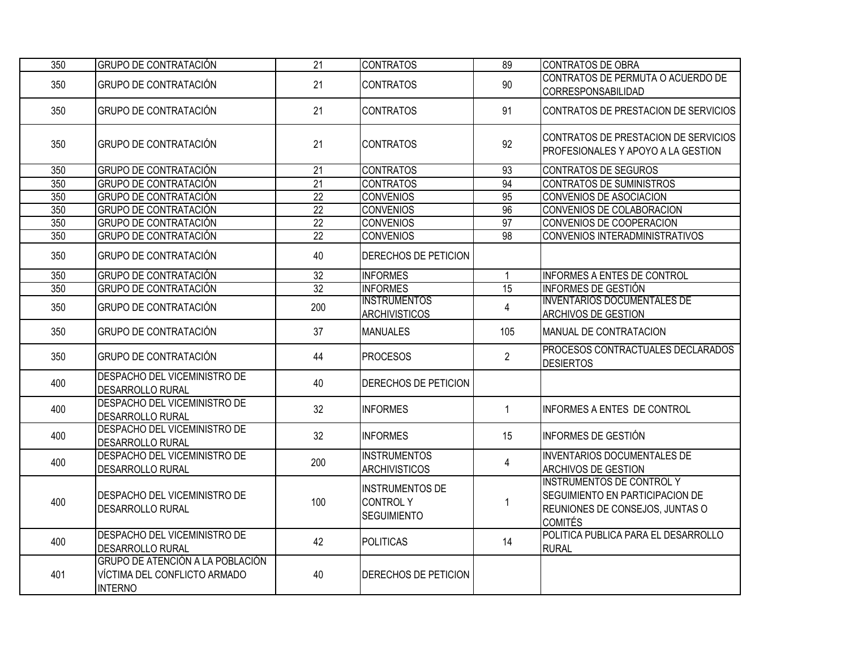| 350 | <b>GRUPO DE CONTRATACIÓN</b>                                                       | 21              | <b>CONTRATOS</b>                                                | 89                      | <b>CONTRATOS DE OBRA</b>                                                                                                 |
|-----|------------------------------------------------------------------------------------|-----------------|-----------------------------------------------------------------|-------------------------|--------------------------------------------------------------------------------------------------------------------------|
| 350 | <b>GRUPO DE CONTRATACIÓN</b>                                                       | 21              | <b>CONTRATOS</b>                                                | 90                      | CONTRATOS DE PERMUTA O ACUERDO DE<br><b>CORRESPONSABILIDAD</b>                                                           |
| 350 | <b>GRUPO DE CONTRATACIÓN</b>                                                       | 21              | <b>CONTRATOS</b>                                                | 91                      | CONTRATOS DE PRESTACION DE SERVICIOS                                                                                     |
| 350 | <b>GRUPO DE CONTRATACIÓN</b>                                                       | 21              | <b>CONTRATOS</b>                                                | 92                      | CONTRATOS DE PRESTACION DE SERVICIOS<br>PROFESIONALES Y APOYO A LA GESTION                                               |
| 350 | <b>GRUPO DE CONTRATACIÓN</b>                                                       | 21              | <b>CONTRATOS</b>                                                | 93                      | <b>CONTRATOS DE SEGUROS</b>                                                                                              |
| 350 | <b>GRUPO DE CONTRATACIÓN</b>                                                       | $\overline{21}$ | <b>CONTRATOS</b>                                                | 94                      | <b>CONTRATOS DE SUMINISTROS</b>                                                                                          |
| 350 | <b>GRUPO DE CONTRATACIÓN</b>                                                       | $\overline{22}$ | <b>CONVENIOS</b>                                                | 95                      | CONVENIOS DE ASOCIACION                                                                                                  |
| 350 | <b>GRUPO DE CONTRATACIÓN</b>                                                       | $\overline{22}$ | <b>CONVENIOS</b>                                                | $\overline{96}$         | CONVENIOS DE COLABORACION                                                                                                |
| 350 | GRUPO DE CONTRATACIÓN                                                              | $\overline{22}$ | <b>CONVENIOS</b>                                                | $\overline{97}$         | CONVENIOS DE COOPERACION                                                                                                 |
| 350 | <b>GRUPO DE CONTRATACIÓN</b>                                                       | $\overline{22}$ | <b>CONVENIOS</b>                                                | $\overline{98}$         | CONVENIOS INTERADMINISTRATIVOS                                                                                           |
| 350 | <b>GRUPO DE CONTRATACIÓN</b>                                                       | 40              | <b>DERECHOS DE PETICION</b>                                     |                         |                                                                                                                          |
| 350 | <b>GRUPO DE CONTRATACIÓN</b>                                                       | $\overline{32}$ | <b>INFORMES</b>                                                 | $\mathbf 1$             | <b>INFORMES A ENTES DE CONTROL</b>                                                                                       |
| 350 | <b>GRUPO DE CONTRATACIÓN</b>                                                       | 32              | <b>INFORMES</b>                                                 | 15                      | <b>INFORMES DE GESTIÓN</b>                                                                                               |
| 350 | <b>GRUPO DE CONTRATACIÓN</b>                                                       | 200             | <b>INSTRUMENTOS</b><br><b>ARCHIVISTICOS</b>                     | $\overline{\mathbf{4}}$ | <b>INVENTARIOS DOCUMENTALES DE</b><br><b>ARCHIVOS DE GESTION</b>                                                         |
| 350 | <b>GRUPO DE CONTRATACIÓN</b>                                                       | 37              | <b>MANUALES</b>                                                 | 105                     | MANUAL DE CONTRATACION                                                                                                   |
| 350 | <b>GRUPO DE CONTRATACIÓN</b>                                                       | 44              | <b>PROCESOS</b>                                                 | $\overline{2}$          | PROCESOS CONTRACTUALES DECLARADOS<br><b>DESIERTOS</b>                                                                    |
| 400 | DESPACHO DEL VICEMINISTRO DE<br>DESARROLLO RURAL                                   | 40              | DERECHOS DE PETICION                                            |                         |                                                                                                                          |
| 400 | DESPACHO DEL VICEMINISTRO DE<br>DESARROLLO RURAL                                   | 32              | <b>INFORMES</b>                                                 | $\mathbf{1}$            | INFORMES A ENTES DE CONTROL                                                                                              |
| 400 | <b>DESPACHO DEL VICEMINISTRO DE</b><br>DESARROLLO RURAL                            | 32              | <b>INFORMES</b>                                                 | 15                      | INFORMES DE GESTIÓN                                                                                                      |
| 400 | DESPACHO DEL VICEMINISTRO DE<br>DESARROLLO RURAL                                   | 200             | <b>INSTRUMENTOS</b><br><b>ARCHIVISTICOS</b>                     | 4                       | <b>INVENTARIOS DOCUMENTALES DE</b><br><b>ARCHIVOS DE GESTION</b>                                                         |
| 400 | DESPACHO DEL VICEMINISTRO DE<br><b>DESARROLLO RURAL</b>                            | 100             | <b>INSTRUMENTOS DE</b><br><b>CONTROLY</b><br><b>SEGUIMIENTO</b> | 1                       | <b>INSTRUMENTOS DE CONTROL Y</b><br>SEGUIMIENTO EN PARTICIPACION DE<br>REUNIONES DE CONSEJOS, JUNTAS O<br><b>COMITÉS</b> |
| 400 | DESPACHO DEL VICEMINISTRO DE<br><b>DESARROLLO RURAL</b>                            | 42              | <b>POLITICAS</b>                                                | 14                      | POLITICA PUBLICA PARA EL DESARROLLO<br><b>RURAL</b>                                                                      |
| 401 | GRUPO DE ATENCIÓN A LA POBLACIÓN<br>VÍCTIMA DEL CONFLICTO ARMADO<br><b>INTERNO</b> | 40              | <b>DERECHOS DE PETICION</b>                                     |                         |                                                                                                                          |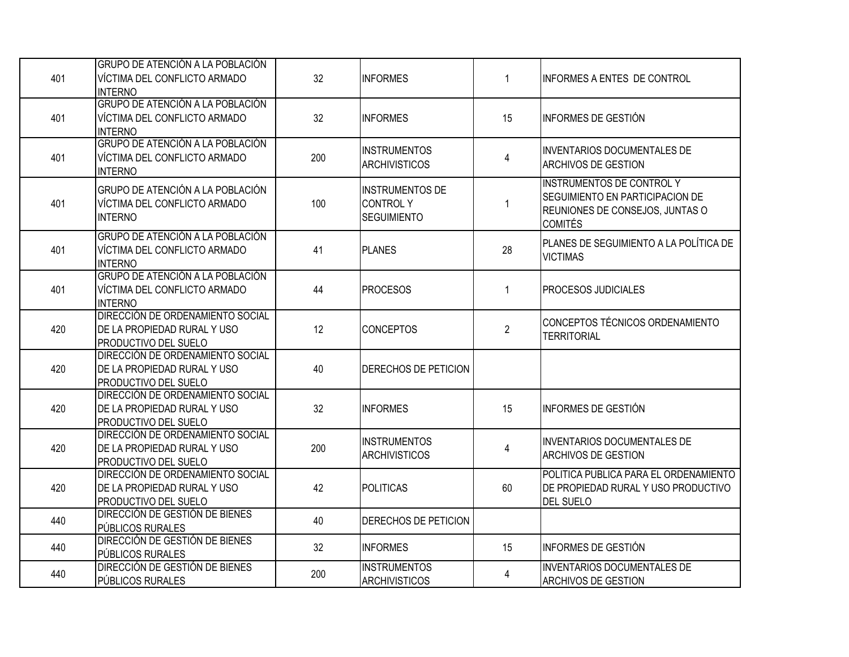| 401 | GRUPO DE ATENCIÓN A LA POBLACIÓN<br>VÍCTIMA DEL CONFLICTO ARMADO<br><b>INTERNO</b>                    | 32 <sup>°</sup> | <b>INFORMES</b>                                                 | $\mathbf{1}$   | INFORMES A ENTES DE CONTROL                                                                                              |
|-----|-------------------------------------------------------------------------------------------------------|-----------------|-----------------------------------------------------------------|----------------|--------------------------------------------------------------------------------------------------------------------------|
| 401 | GRUPO DE ATENCIÓN A LA POBLACIÓN<br>VÍCTIMA DEL CONFLICTO ARMADO<br><b>INTERNO</b>                    | 32              | <b>INFORMES</b>                                                 | 15             | IINFORMES DE GESTIÓN                                                                                                     |
| 401 | GRUPO DE ATENCIÓN A LA POBLACIÓN<br>VÍCTIMA DEL CONFLICTO ARMADO<br><b>INTERNO</b>                    | 200             | <b>INSTRUMENTOS</b><br><b>ARCHIVISTICOS</b>                     | 4              | <b>INVENTARIOS DOCUMENTALES DE</b><br><b>ARCHIVOS DE GESTION</b>                                                         |
| 401 | GRUPO DE ATENCIÓN A LA POBLACIÓN<br>VÍCTIMA DEL CONFLICTO ARMADO<br><b>INTERNO</b>                    | 100             | <b>INSTRUMENTOS DE</b><br><b>CONTROLY</b><br><b>SEGUIMIENTO</b> | 1              | <b>INSTRUMENTOS DE CONTROL Y</b><br>SEGUIMIENTO EN PARTICIPACION DE<br>REUNIONES DE CONSEJOS, JUNTAS O<br><b>COMITÉS</b> |
| 401 | GRUPO DE ATENCIÓN A LA POBLACIÓN<br>VÍCTIMA DEL CONFLICTO ARMADO<br><b>INTERNO</b>                    | 41              | <b>PLANES</b>                                                   | 28             | PLANES DE SEGUIMIENTO A LA POLÍTICA DE<br><b>VICTIMAS</b>                                                                |
| 401 | GRUPO DE ATENCIÓN A LA POBLACIÓN<br>VÍCTIMA DEL CONFLICTO ARMADO<br>INTERNO                           | 44              | <b>PROCESOS</b>                                                 | $\mathbf{1}$   | <b>PROCESOS JUDICIALES</b>                                                                                               |
| 420 | <b>DIRECCIÓN DE ORDENAMIENTO SOCIAL</b><br>DE LA PROPIEDAD RURAL Y USO<br><b>PRODUCTIVO DEL SUELO</b> | 12              | <b>CONCEPTOS</b>                                                | $\overline{2}$ | CONCEPTOS TÉCNICOS ORDENAMIENTO<br><b>TERRITORIAL</b>                                                                    |
| 420 | <b>DIRECCIÓN DE ORDENAMIENTO SOCIAL</b><br>DE LA PROPIEDAD RURAL Y USO<br><b>PRODUCTIVO DEL SUELO</b> | 40              | DERECHOS DE PETICION                                            |                |                                                                                                                          |
| 420 | <b>DIRECCIÓN DE ORDENAMIENTO SOCIAL</b><br>DE LA PROPIEDAD RURAL Y USO<br><b>PRODUCTIVO DEL SUELO</b> | 32              | <b>INFORMES</b>                                                 | 15             | INFORMES DE GESTIÓN                                                                                                      |
| 420 | DIRECCIÓN DE ORDENAMIENTO SOCIAL<br>DE LA PROPIEDAD RURAL Y USO<br><b>PRODUCTIVO DEL SUELO</b>        | 200             | <b>INSTRUMENTOS</b><br><b>ARCHIVISTICOS</b>                     | $\overline{4}$ | <b>INVENTARIOS DOCUMENTALES DE</b><br><b>ARCHIVOS DE GESTION</b>                                                         |
| 420 | <b>DIRECCIÓN DE ORDENAMIENTO SOCIAL</b><br>DE LA PROPIEDAD RURAL Y USO<br><b>PRODUCTIVO DEL SUELO</b> | 42              | <b>POLITICAS</b>                                                | 60             | POLITICA PUBLICA PARA EL ORDENAMIENTO<br>DE PROPIEDAD RURAL Y USO PRODUCTIVO<br><b>DEL SUELO</b>                         |
| 440 | <b>DIRECCIÓN DE GESTIÓN DE BIENES</b><br>PÚBLICOS RURALES                                             | 40              | DERECHOS DE PETICION                                            |                |                                                                                                                          |
| 440 | <b>DIRECCIÓN DE GESTIÓN DE BIENES</b><br>PÚBLICOS RURALES                                             | 32              | <b>INFORMES</b>                                                 | 15             | INFORMES DE GESTIÓN                                                                                                      |
| 440 | <b>DIRECCIÓN DE GESTIÓN DE BIENES</b><br><b>PÚBLICOS RURALES</b>                                      | 200             | <b>INSTRUMENTOS</b><br><b>ARCHIVISTICOS</b>                     | $\overline{4}$ | <b>INVENTARIOS DOCUMENTALES DE</b><br><b>ARCHIVOS DE GESTION</b>                                                         |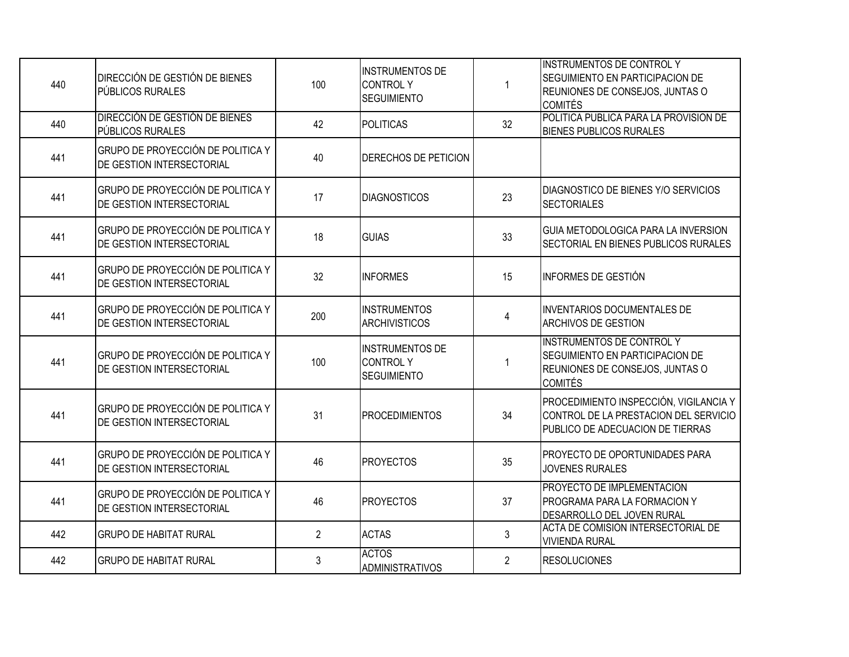| 440 | <b>DIRECCIÓN DE GESTIÓN DE BIENES</b><br>PÚBLICOS RURALES              | 100            | <b>INSTRUMENTOS DE</b><br>CONTROLY<br><b>SEGUIMIENTO</b>        | $\mathbf{1}$   | <b>INSTRUMENTOS DE CONTROL Y</b><br>SEGUIMIENTO EN PARTICIPACION DE<br>REUNIONES DE CONSEJOS, JUNTAS O<br><b>COMITÉS</b>        |
|-----|------------------------------------------------------------------------|----------------|-----------------------------------------------------------------|----------------|---------------------------------------------------------------------------------------------------------------------------------|
| 440 | <b>DIRECCIÓN DE GESTIÓN DE BIENES</b><br>PÚBLICOS RURALES              | 42             | POLITICAS                                                       | 32             | POLITICA PUBLICA PARA LA PROVISION DE<br><b>BIENES PUBLICOS RURALES</b>                                                         |
| 441 | GRUPO DE PROYECCIÓN DE POLITICA Y<br><b>DE GESTION INTERSECTORIAL</b>  | 40             | DERECHOS DE PETICION                                            |                |                                                                                                                                 |
| 441 | GRUPO DE PROYECCIÓN DE POLITICA Y<br><b>IDE GESTION INTERSECTORIAL</b> | 17             | <b>DIAGNOSTICOS</b>                                             | 23             | DIAGNOSTICO DE BIENES Y/O SERVICIOS<br><b>SECTORIALES</b>                                                                       |
| 441 | GRUPO DE PROYECCIÓN DE POLITICA Y<br><b>DE GESTION INTERSECTORIAL</b>  | 18             | <b>GUIAS</b>                                                    | 33             | GUIA METODOLOGICA PARA LA INVERSION<br>SECTORIAL EN BIENES PUBLICOS RURALES                                                     |
| 441 | GRUPO DE PROYECCIÓN DE POLITICA Y<br><b>DE GESTION INTERSECTORIAL</b>  | 32             | <b>INFORMES</b>                                                 | 15             | <b>INFORMES DE GESTIÓN</b>                                                                                                      |
| 441 | GRUPO DE PROYECCIÓN DE POLITICA Y<br><b>DE GESTION INTERSECTORIAL</b>  | 200            | <b>INSTRUMENTOS</b><br><b>ARCHIVISTICOS</b>                     | $\overline{4}$ | <b>INVENTARIOS DOCUMENTALES DE</b><br><b>ARCHIVOS DE GESTION</b>                                                                |
| 441 | GRUPO DE PROYECCIÓN DE POLITICA Y<br><b>DE GESTION INTERSECTORIAL</b>  | 100            | <b>INSTRUMENTOS DE</b><br><b>CONTROLY</b><br><b>SEGUIMIENTO</b> | 1              | <b>INSTRUMENTOS DE CONTROL Y</b><br><b>SEGUIMIENTO EN PARTICIPACION DE</b><br>REUNIONES DE CONSEJOS, JUNTAS O<br><b>COMITÉS</b> |
| 441 | GRUPO DE PROYECCIÓN DE POLITICA Y<br><b>DE GESTION INTERSECTORIAL</b>  | 31             | <b>PROCEDIMIENTOS</b>                                           | 34             | PROCEDIMIENTO INSPECCIÓN, VIGILANCIA Y<br>CONTROL DE LA PRESTACION DEL SERVICIO<br>PUBLICO DE ADECUACION DE TIERRAS             |
| 441 | GRUPO DE PROYECCIÓN DE POLITICA Y<br>DE GESTION INTERSECTORIAL         | 46             | <b>PROYECTOS</b>                                                | 35             | PROYECTO DE OPORTUNIDADES PARA<br><b>JOVENES RURALES</b>                                                                        |
| 441 | GRUPO DE PROYECCIÓN DE POLITICA Y<br>DE GESTION INTERSECTORIAL         | 46             | <b>PROYECTOS</b>                                                | 37             | PROYECTO DE IMPLEMENTACION<br>PROGRAMA PARA LA FORMACION Y<br>DESARROLLO DEL JOVEN RURAL                                        |
| 442 | <b>GRUPO DE HABITAT RURAL</b>                                          | $\overline{2}$ | <b>ACTAS</b>                                                    | $\mathfrak{Z}$ | ACTA DE COMISION INTERSECTORIAL DE<br><b>VIVIENDA RURAL</b>                                                                     |
| 442 | <b>GRUPO DE HABITAT RURAL</b>                                          | 3              | <b>ACTOS</b><br>ADMINISTRATIVOS                                 | $\overline{2}$ | <b>RESOLUCIONES</b>                                                                                                             |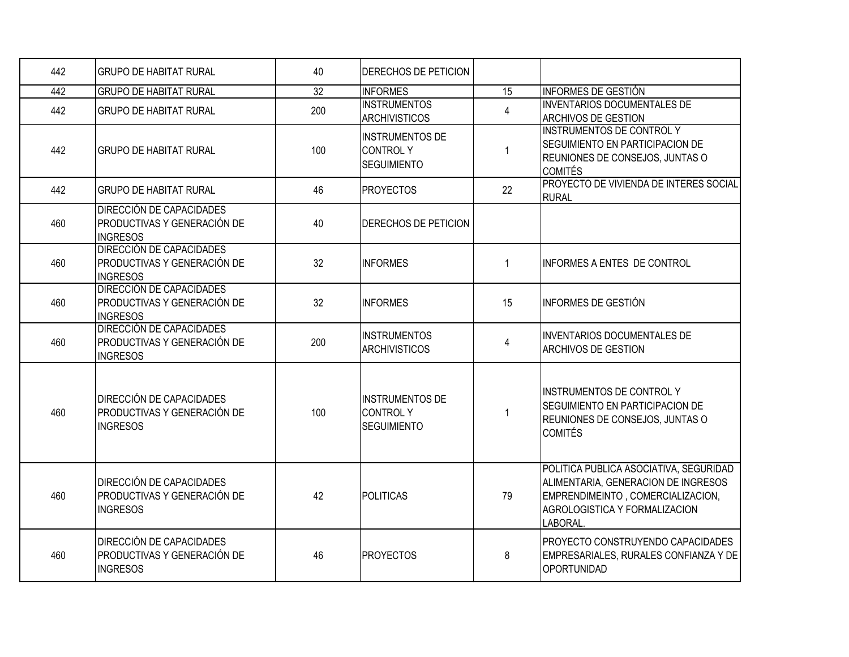| 442 | IGRUPO DE HABITAT RURAL                                                                  | 40  | <b>DERECHOS DE PETICION</b>                                     |                |                                                                                                                                                                 |
|-----|------------------------------------------------------------------------------------------|-----|-----------------------------------------------------------------|----------------|-----------------------------------------------------------------------------------------------------------------------------------------------------------------|
| 442 | <b>GRUPO DE HABITAT RURAL</b>                                                            | 32  | <b>INFORMES</b>                                                 | 15             | <b>INFORMES DE GESTIÓN</b>                                                                                                                                      |
| 442 | <b>GRUPO DE HABITAT RURAL</b>                                                            | 200 | <b>INSTRUMENTOS</b><br><b>ARCHIVISTICOS</b>                     | 4              | <b>INVENTARIOS DOCUMENTALES DE</b><br>ARCHIVOS DE GESTION                                                                                                       |
| 442 | IGRUPO DE HABITAT RURAL                                                                  | 100 | <b>INSTRUMENTOS DE</b><br><b>CONTROLY</b><br><b>SEGUIMIENTO</b> | $\mathbf 1$    | <b>INSTRUMENTOS DE CONTROL Y</b><br>SEGUIMIENTO EN PARTICIPACION DE<br>REUNIONES DE CONSEJOS, JUNTAS O<br><b>COMITÉS</b>                                        |
| 442 | <b>GRUPO DE HABITAT RURAL</b>                                                            | 46  | <b>PROYECTOS</b>                                                | 22             | PROYECTO DE VIVIENDA DE INTERES SOCIAL<br><b>RURAL</b>                                                                                                          |
| 460 | <b>DIRECCIÓN DE CAPACIDADES</b><br><b>PRODUCTIVAS Y GENERACIÓN DE</b><br><b>INGRESOS</b> | 40  | DERECHOS DE PETICION                                            |                |                                                                                                                                                                 |
| 460 | <b>DIRECCIÓN DE CAPACIDADES</b><br><b>PRODUCTIVAS Y GENERACIÓN DE</b><br><b>INGRESOS</b> | 32  | <b>INFORMES</b>                                                 | $\mathbf{1}$   | INFORMES A ENTES DE CONTROL                                                                                                                                     |
| 460 | <b>DIRECCIÓN DE CAPACIDADES</b><br>PRODUCTIVAS Y GENERACIÓN DE<br><b>INGRESOS</b>        | 32  | <b>INFORMES</b>                                                 | 15             | INFORMES DE GESTIÓN                                                                                                                                             |
| 460 | <b>DIRECCIÓN DE CAPACIDADES</b><br><b>PRODUCTIVAS Y GENERACIÓN DE</b><br><b>INGRESOS</b> | 200 | <b>INSTRUMENTOS</b><br><b>ARCHIVISTICOS</b>                     | $\overline{4}$ | <b>INVENTARIOS DOCUMENTALES DE</b><br><b>ARCHIVOS DE GESTION</b>                                                                                                |
| 460 | <b>DIRECCIÓN DE CAPACIDADES</b><br><b>PRODUCTIVAS Y GENERACIÓN DE</b><br><b>INGRESOS</b> | 100 | <b>INSTRUMENTOS DE</b><br><b>CONTROLY</b><br><b>SEGUIMIENTO</b> |                | <b>INSTRUMENTOS DE CONTROL Y</b><br>SEGUIMIENTO EN PARTICIPACION DE<br>REUNIONES DE CONSEJOS, JUNTAS O<br><b>COMITÉS</b>                                        |
| 460 | <b>DIRECCIÓN DE CAPACIDADES</b><br><b>PRODUCTIVAS Y GENERACIÓN DE</b><br><b>INGRESOS</b> | 42  | <b>POLITICAS</b>                                                | 79             | POLITICA PUBLICA ASOCIATIVA, SEGURIDAD<br>ALIMENTARIA, GENERACION DE INGRESOS<br>EMPRENDIMEINTO, COMERCIALIZACION,<br>AGROLOGISTICA Y FORMALIZACION<br>LABORAL. |
| 460 | <b>DIRECCIÓN DE CAPACIDADES</b><br><b>PRODUCTIVAS Y GENERACIÓN DE</b><br><b>INGRESOS</b> | 46  | <b>PROYECTOS</b>                                                | 8              | PROYECTO CONSTRUYENDO CAPACIDADES<br>EMPRESARIALES, RURALES CONFIANZA Y DE<br>OPORTUNIDAD                                                                       |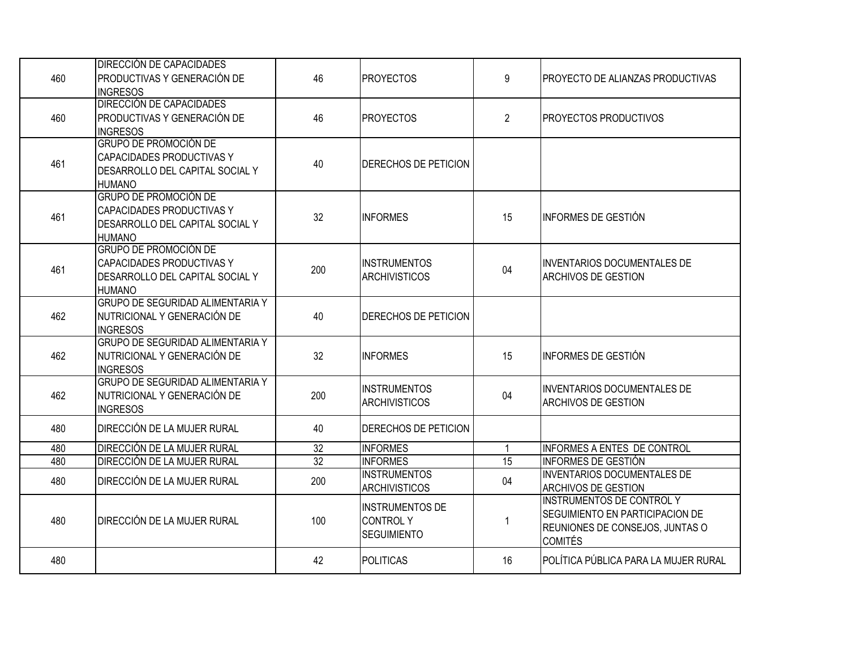| 460 | <b>DIRECCIÓN DE CAPACIDADES</b><br>PRODUCTIVAS Y GENERACIÓN DE<br><b>INGRESOS</b>                                    | 46              | <b>PROYECTOS</b>                                                | 9              | PROYECTO DE ALIANZAS PRODUCTIVAS                                                                                         |
|-----|----------------------------------------------------------------------------------------------------------------------|-----------------|-----------------------------------------------------------------|----------------|--------------------------------------------------------------------------------------------------------------------------|
| 460 | DIRECCIÓN DE CAPACIDADES<br>PRODUCTIVAS Y GENERACIÓN DE<br><b>INGRESOS</b>                                           | 46              | <b>PROYECTOS</b>                                                | $\overline{2}$ | PROYECTOS PRODUCTIVOS                                                                                                    |
| 461 | <b>GRUPO DE PROMOCIÓN DE</b><br>CAPACIDADES PRODUCTIVAS Y<br>DESARROLLO DEL CAPITAL SOCIAL Y<br><b>HUMANO</b>        | 40              | DERECHOS DE PETICION                                            |                |                                                                                                                          |
| 461 | <b>GRUPO DE PROMOCIÓN DE</b><br><b>CAPACIDADES PRODUCTIVAS Y</b><br>DESARROLLO DEL CAPITAL SOCIAL Y<br><b>HUMANO</b> | 32              | <b>INFORMES</b>                                                 | 15             | <b>INFORMES DE GESTIÓN</b>                                                                                               |
| 461 | <b>GRUPO DE PROMOCIÓN DE</b><br>CAPACIDADES PRODUCTIVAS Y<br>DESARROLLO DEL CAPITAL SOCIAL Y<br><b>HUMANO</b>        | 200             | <b>INSTRUMENTOS</b><br><b>ARCHIVISTICOS</b>                     | 04             | <b>INVENTARIOS DOCUMENTALES DE</b><br><b>ARCHIVOS DE GESTION</b>                                                         |
| 462 | <b>GRUPO DE SEGURIDAD ALIMENTARIA Y</b><br>NUTRICIONAL Y GENERACIÓN DE<br><b>INGRESOS</b>                            | 40              | DERECHOS DE PETICION                                            |                |                                                                                                                          |
| 462 | <b>GRUPO DE SEGURIDAD ALIMENTARIA Y</b><br>NUTRICIONAL Y GENERACIÓN DE<br><b>INGRESOS</b>                            | 32              | <b>INFORMES</b>                                                 | 15             | <b>INFORMES DE GESTIÓN</b>                                                                                               |
| 462 | <b>GRUPO DE SEGURIDAD ALIMENTARIA Y</b><br>NUTRICIONAL Y GENERACIÓN DE<br><b>INGRESOS</b>                            | 200             | <b>INSTRUMENTOS</b><br><b>ARCHIVISTICOS</b>                     | 04             | <b>INVENTARIOS DOCUMENTALES DE</b><br><b>ARCHIVOS DE GESTION</b>                                                         |
| 480 | <b>DIRECCIÓN DE LA MUJER RURAL</b>                                                                                   | 40              | <b>DERECHOS DE PETICION</b>                                     |                |                                                                                                                          |
| 480 | DIRECCIÓN DE LA MUJER RURAL                                                                                          | 32              | <b>INFORMES</b>                                                 | $\overline{1}$ | <b>INFORMES A ENTES DE CONTROL</b>                                                                                       |
| 480 | DIRECCIÓN DE LA MUJER RURAL                                                                                          | $\overline{32}$ | <b>INFORMES</b>                                                 | 15             | <b>INFORMES DE GESTIÓN</b>                                                                                               |
| 480 | DIRECCIÓN DE LA MUJER RURAL                                                                                          | 200             | <b>INSTRUMENTOS</b><br><b>ARCHIVISTICOS</b>                     | 04             | <b>INVENTARIOS DOCUMENTALES DE</b><br>ARCHIVOS DE GESTION                                                                |
| 480 | <b>DIRECCIÓN DE LA MUJER RURAL</b>                                                                                   | 100             | <b>INSTRUMENTOS DE</b><br><b>CONTROLY</b><br><b>SEGUIMIENTO</b> | 1              | <b>INSTRUMENTOS DE CONTROL Y</b><br>SEGUIMIENTO EN PARTICIPACION DE<br>REUNIONES DE CONSEJOS, JUNTAS O<br><b>COMITÉS</b> |
| 480 |                                                                                                                      | 42              | POLITICAS                                                       | 16             | POLÍTICA PÚBLICA PARA LA MUJER RURAL                                                                                     |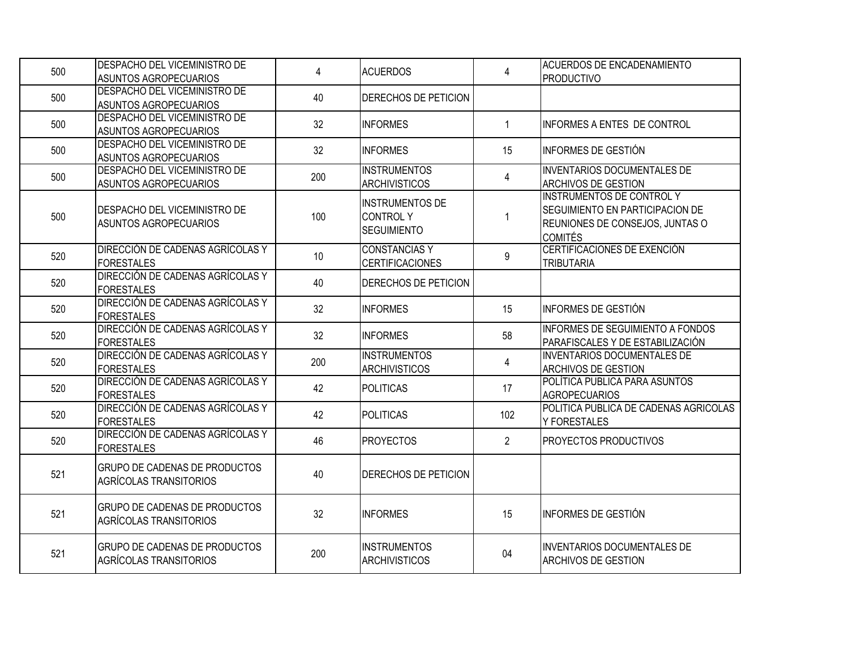| 500 | DESPACHO DEL VICEMINISTRO DE<br>ASUNTOS AGROPECUARIOS                 | 4   | <b>ACUERDOS</b>                                                 | $\overline{4}$ | <b>ACUERDOS DE ENCADENAMIENTO</b><br><b>PRODUCTIVO</b>                                                                          |
|-----|-----------------------------------------------------------------------|-----|-----------------------------------------------------------------|----------------|---------------------------------------------------------------------------------------------------------------------------------|
| 500 | DESPACHO DEL VICEMINISTRO DE<br><b>ASUNTOS AGROPECUARIOS</b>          | 40  | DERECHOS DE PETICION                                            |                |                                                                                                                                 |
| 500 | DESPACHO DEL VICEMINISTRO DE<br>ASUNTOS AGROPECUARIOS                 | 32  | <b>INFORMES</b>                                                 | $\mathbf{1}$   | INFORMES A ENTES DE CONTROL                                                                                                     |
| 500 | DESPACHO DEL VICEMINISTRO DE<br><b>ASUNTOS AGROPECUARIOS</b>          | 32  | <b>INFORMES</b>                                                 | 15             | INFORMES DE GESTIÓN                                                                                                             |
| 500 | DESPACHO DEL VICEMINISTRO DE<br>ASUNTOS AGROPECUARIOS                 | 200 | <b>INSTRUMENTOS</b><br><b>ARCHIVISTICOS</b>                     | 4              | <b>INVENTARIOS DOCUMENTALES DE</b><br><b>ARCHIVOS DE GESTION</b>                                                                |
| 500 | DESPACHO DEL VICEMINISTRO DE<br>ASUNTOS AGROPECUARIOS                 | 100 | <b>INSTRUMENTOS DE</b><br><b>CONTROLY</b><br><b>SEGUIMIENTO</b> | $\mathbf 1$    | <b>INSTRUMENTOS DE CONTROL Y</b><br>SEGUIMIENTO EN PARTICIPACION DE<br><b>REUNIONES DE CONSEJOS, JUNTAS O</b><br><b>COMITÉS</b> |
| 520 | DIRECCIÓN DE CADENAS AGRÍCOLAS Y<br><b>FORESTALES</b>                 | 10  | <b>CONSTANCIAS Y</b><br><b>CERTIFICACIONES</b>                  | 9              | CERTIFICACIONES DE EXENCIÓN<br><b>TRIBUTARIA</b>                                                                                |
| 520 | DIRECCIÓN DE CADENAS AGRÍCOLAS Y<br><b>FORESTALES</b>                 | 40  | DERECHOS DE PETICION                                            |                |                                                                                                                                 |
| 520 | DIRECCIÓN DE CADENAS AGRÍCOLAS Y<br><b>FORESTALES</b>                 | 32  | <b>INFORMES</b>                                                 | 15             | <b>INFORMES DE GESTIÓN</b>                                                                                                      |
| 520 | DIRECCIÓN DE CADENAS AGRÍCOLAS Y<br><b>FORESTALES</b>                 | 32  | <b>INFORMES</b>                                                 | 58             | <b>INFORMES DE SEGUIMIENTO A FONDOS</b><br>PARAFISCALES Y DE ESTABILIZACIÓN                                                     |
| 520 | DIRECCIÓN DE CADENAS AGRÍCOLAS Y<br><b>FORESTALES</b>                 | 200 | <b>INSTRUMENTOS</b><br><b>ARCHIVISTICOS</b>                     | 4              | <b>INVENTARIOS DOCUMENTALES DE</b><br><b>ARCHIVOS DE GESTION</b>                                                                |
| 520 | DIRECCIÓN DE CADENAS AGRÍCOLAS Y<br><b>FORESTALES</b>                 | 42  | POLITICAS                                                       | 17             | POLÍTICA PUBLICA PARA ASUNTOS<br><b>AGROPECUARIOS</b>                                                                           |
| 520 | DIRECCIÓN DE CADENAS AGRÍCOLAS Y<br><b>FORESTALES</b>                 | 42  | POLITICAS                                                       | 102            | POLITICA PUBLICA DE CADENAS AGRICOLAS<br><b>Y FORESTALES</b>                                                                    |
| 520 | DIRECCIÓN DE CADENAS AGRÍCOLAS Y<br><b>FORESTALES</b>                 | 46  | <b>PROYECTOS</b>                                                | $\overline{2}$ | <b>PROYECTOS PRODUCTIVOS</b>                                                                                                    |
| 521 | <b>GRUPO DE CADENAS DE PRODUCTOS</b><br>AGRÍCOLAS TRANSITORIOS        | 40  | DERECHOS DE PETICION                                            |                |                                                                                                                                 |
| 521 | <b>GRUPO DE CADENAS DE PRODUCTOS</b><br><b>AGRÍCOLAS TRANSITORIOS</b> | 32  | <b>INFORMES</b>                                                 | 15             | INFORMES DE GESTIÓN                                                                                                             |
| 521 | <b>GRUPO DE CADENAS DE PRODUCTOS</b><br>AGRÍCOLAS TRANSITORIOS        | 200 | <b>INSTRUMENTOS</b><br><b>ARCHIVISTICOS</b>                     | 04             | INVENTARIOS DOCUMENTALES DE<br><b>ARCHIVOS DE GESTION</b>                                                                       |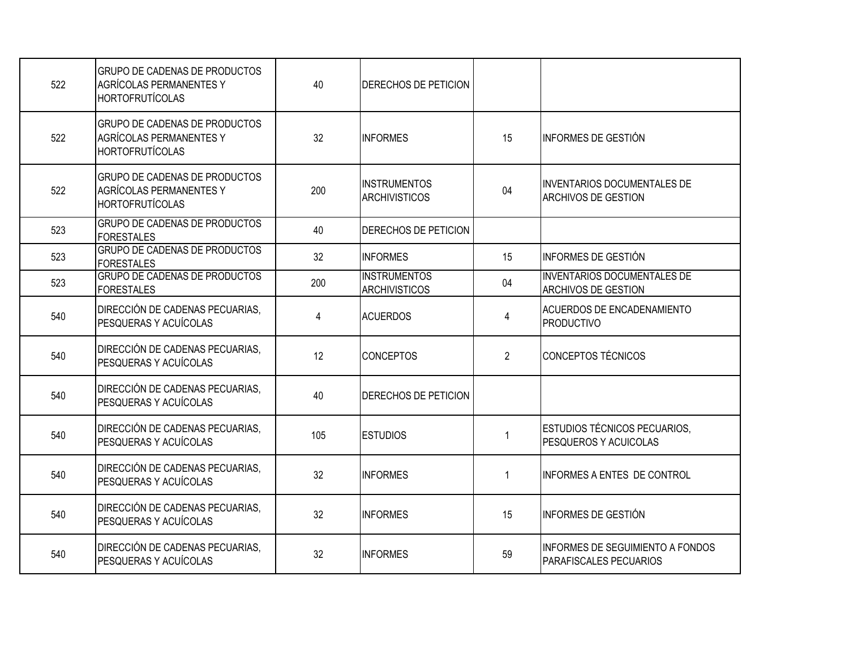| 522 | GRUPO DE CADENAS DE PRODUCTOS<br><b>AGRÍCOLAS PERMANENTES Y</b><br><b>HORTOFRUTÍCOLAS</b> | 40  | <b>DERECHOS DE PETICION</b>                 |                |                                                                   |
|-----|-------------------------------------------------------------------------------------------|-----|---------------------------------------------|----------------|-------------------------------------------------------------------|
| 522 | GRUPO DE CADENAS DE PRODUCTOS<br><b>AGRÍCOLAS PERMANENTES Y</b><br><b>HORTOFRUTÍCOLAS</b> | 32  | <b>INFORMES</b>                             | 15             | INFORMES DE GESTIÓN                                               |
| 522 | GRUPO DE CADENAS DE PRODUCTOS<br><b>AGRÍCOLAS PERMANENTES Y</b><br><b>HORTOFRUTÍCOLAS</b> | 200 | <b>INSTRUMENTOS</b><br><b>ARCHIVISTICOS</b> | 04             | <b>INVENTARIOS DOCUMENTALES DE</b><br><b>ARCHIVOS DE GESTION</b>  |
| 523 | <b>GRUPO DE CADENAS DE PRODUCTOS</b><br><b>FORESTALES</b>                                 | 40  | DERECHOS DE PETICION                        |                |                                                                   |
| 523 | <b>GRUPO DE CADENAS DE PRODUCTOS</b><br><b>FORESTALES</b>                                 | 32  | <b>INFORMES</b>                             | 15             | INFORMES DE GESTIÓN                                               |
| 523 | <b>GRUPO DE CADENAS DE PRODUCTOS</b><br><b>FORESTALES</b>                                 | 200 | <b>INSTRUMENTOS</b><br><b>ARCHIVISTICOS</b> | 04             | <b>INVENTARIOS DOCUMENTALES DE</b><br><b>ARCHIVOS DE GESTION</b>  |
| 540 | DIRECCIÓN DE CADENAS PECUARIAS,<br><b>PESQUERAS Y ACUÍCOLAS</b>                           | 4   | <b>ACUERDOS</b>                             | 4              | <b>ACUERDOS DE ENCADENAMIENTO</b><br>PRODUCTIVO                   |
| 540 | DIRECCIÓN DE CADENAS PECUARIAS,<br>PESQUERAS Y ACUÍCOLAS                                  | 12  | <b>CONCEPTOS</b>                            | $\overline{2}$ | CONCEPTOS TÉCNICOS                                                |
| 540 | DIRECCIÓN DE CADENAS PECUARIAS,<br>PESQUERAS Y ACUÍCOLAS                                  | 40  | <b>DERECHOS DE PETICION</b>                 |                |                                                                   |
| 540 | DIRECCIÓN DE CADENAS PECUARIAS,<br>PESQUERAS Y ACUÍCOLAS                                  | 105 | <b>ESTUDIOS</b>                             | 1              | ESTUDIOS TÉCNICOS PECUARIOS,<br><b>PESQUEROS Y ACUICOLAS</b>      |
| 540 | DIRECCIÓN DE CADENAS PECUARIAS,<br><b>PESQUERAS Y ACUÍCOLAS</b>                           | 32  | <b>INFORMES</b>                             | 1              | INFORMES A ENTES DE CONTROL                                       |
| 540 | DIRECCIÓN DE CADENAS PECUARIAS,<br>PESQUERAS Y ACUÍCOLAS                                  | 32  | <b>INFORMES</b>                             | 15             | IINFORMES DE GESTIÓN                                              |
| 540 | DIRECCIÓN DE CADENAS PECUARIAS,<br>PESQUERAS Y ACUÍCOLAS                                  | 32  | <b>INFORMES</b>                             | 59             | <b>INFORMES DE SEGUIMIENTO A FONDOS</b><br>PARAFISCALES PECUARIOS |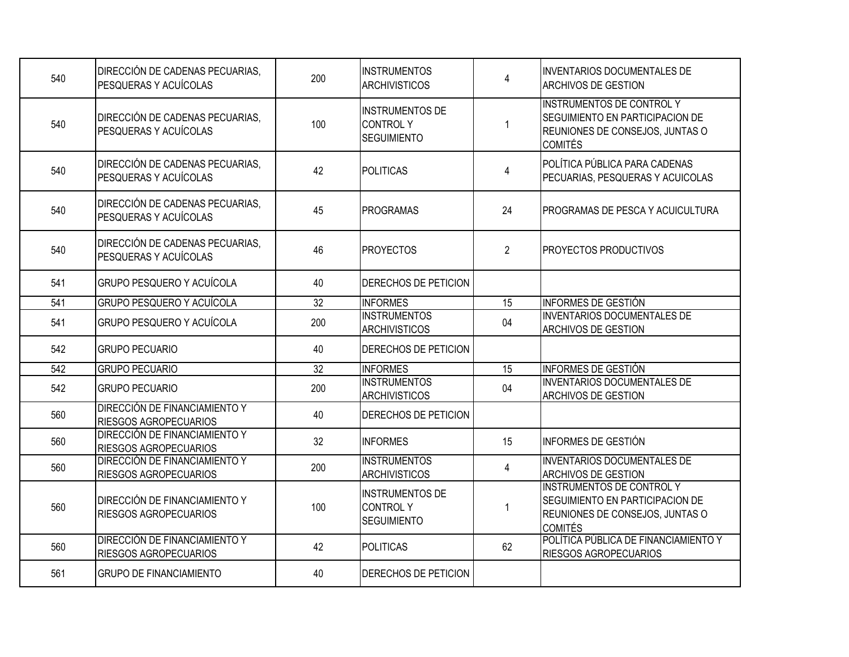| 540 | DIRECCIÓN DE CADENAS PECUARIAS,<br>PESQUERAS Y ACUÍCOLAS               | 200             | <b>INSTRUMENTOS</b><br><b>ARCHIVISTICOS</b>                     | 4               | <b>INVENTARIOS DOCUMENTALES DE</b><br><b>ARCHIVOS DE GESTION</b>                                                                |
|-----|------------------------------------------------------------------------|-----------------|-----------------------------------------------------------------|-----------------|---------------------------------------------------------------------------------------------------------------------------------|
| 540 | <b>DIRECCIÓN DE CADENAS PECUARIAS,</b><br><b>PESQUERAS Y ACUÍCOLAS</b> | 100             | <b>INSTRUMENTOS DE</b><br><b>CONTROLY</b><br><b>SEGUIMIENTO</b> | 1               | <b>INSTRUMENTOS DE CONTROL Y</b><br><b>SEGUIMIENTO EN PARTICIPACION DE</b><br>REUNIONES DE CONSEJOS, JUNTAS O<br><b>COMITÉS</b> |
| 540 | DIRECCIÓN DE CADENAS PECUARIAS,<br><b>PESQUERAS Y ACUÍCOLAS</b>        | 42              | <b>POLITICAS</b>                                                | $\overline{4}$  | POLÍTICA PÚBLICA PARA CADENAS<br>PECUARIAS, PESQUERAS Y ACUICOLAS                                                               |
| 540 | <b>DIRECCIÓN DE CADENAS PECUARIAS.</b><br><b>PESQUERAS Y ACUÍCOLAS</b> | 45              | <b>PROGRAMAS</b>                                                | 24              | IPROGRAMAS DE PESCA Y ACUICULTURA                                                                                               |
| 540 | <b>DIRECCIÓN DE CADENAS PECUARIAS.</b><br>PESQUERAS Y ACUÍCOLAS        | 46              | <b>PROYECTOS</b>                                                | $\overline{2}$  | <b>PROYECTOS PRODUCTIVOS</b>                                                                                                    |
| 541 | <b>GRUPO PESQUERO Y ACUÍCOLA</b>                                       | 40              | DERECHOS DE PETICION                                            |                 |                                                                                                                                 |
| 541 | <b>GRUPO PESQUERO Y ACUÍCOLA</b>                                       | 32              | <b>INFORMES</b>                                                 | $\overline{15}$ | <b>INFORMES DE GESTIÓN</b>                                                                                                      |
| 541 | <b>GRUPO PESQUERO Y ACUÍCOLA</b>                                       | 200             | <b>INSTRUMENTOS</b><br><b>ARCHIVISTICOS</b>                     | 04              | <b>INVENTARIOS DOCUMENTALES DE</b><br><b>ARCHIVOS DE GESTION</b>                                                                |
| 542 | <b>GRUPO PECUARIO</b>                                                  | 40              | DERECHOS DE PETICION                                            |                 |                                                                                                                                 |
| 542 | <b>GRUPO PECUARIO</b>                                                  | $\overline{32}$ | <b>INFORMES</b>                                                 | 15              | INFORMES DE GESTIÓN                                                                                                             |
| 542 | <b>GRUPO PECUARIO</b>                                                  | 200             | <b>INSTRUMENTOS</b><br><b>ARCHIVISTICOS</b>                     | 04              | <b>INVENTARIOS DOCUMENTALES DE</b><br><b>ARCHIVOS DE GESTION</b>                                                                |
| 560 | <b>DIRECCIÓN DE FINANCIAMIENTO Y</b><br><b>RIESGOS AGROPECUARIOS</b>   | 40              | DERECHOS DE PETICION                                            |                 |                                                                                                                                 |
| 560 | <b>DIRECCIÓN DE FINANCIAMIENTO Y</b><br><b>RIESGOS AGROPECUARIOS</b>   | 32              | <b>INFORMES</b>                                                 | 15              | IINFORMES DE GESTIÓN                                                                                                            |
| 560 | DIRECCIÓN DE FINANCIAMIENTO Y<br><b>RIESGOS AGROPECUARIOS</b>          | 200             | <b>INSTRUMENTOS</b><br><b>ARCHIVISTICOS</b>                     | $\overline{4}$  | <b>INVENTARIOS DOCUMENTALES DE</b><br><b>ARCHIVOS DE GESTION</b>                                                                |
| 560 | <b>DIRECCIÓN DE FINANCIAMIENTO Y</b><br><b>RIESGOS AGROPECUARIOS</b>   | 100             | <b>INSTRUMENTOS DE</b><br><b>CONTROLY</b><br><b>SEGUIMIENTO</b> | $\mathbf 1$     | <b>INSTRUMENTOS DE CONTROL Y</b><br>SEGUIMIENTO EN PARTICIPACION DE<br>REUNIONES DE CONSEJOS, JUNTAS O<br><b>COMITÉS</b>        |
| 560 | DIRECCIÓN DE FINANCIAMIENTO Y<br><b>RIESGOS AGROPECUARIOS</b>          | 42              | <b>POLITICAS</b>                                                | 62              | POLÍTICA PÚBLICA DE FINANCIAMIENTO Y<br><b>RIESGOS AGROPECUARIOS</b>                                                            |
| 561 | <b>GRUPO DE FINANCIAMIENTO</b>                                         | 40              | DERECHOS DE PETICION                                            |                 |                                                                                                                                 |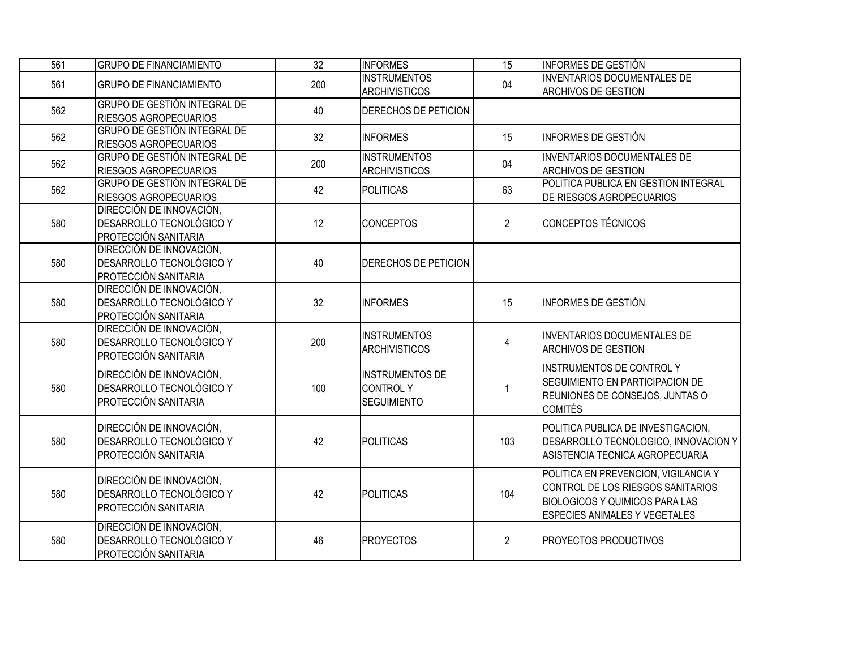| 561 | <b>GRUPO DE FINANCIAMIENTO</b>                                               | 32  | <b>INFORMES</b>                                                 | $\overline{15}$ | <b>INFORMES DE GESTIÓN</b>                                                                                                                          |
|-----|------------------------------------------------------------------------------|-----|-----------------------------------------------------------------|-----------------|-----------------------------------------------------------------------------------------------------------------------------------------------------|
| 561 | <b>GRUPO DE FINANCIAMIENTO</b>                                               | 200 | <b>INSTRUMENTOS</b><br><b>ARCHIVISTICOS</b>                     | 04              | <b>INVENTARIOS DOCUMENTALES DE</b><br>ARCHIVOS DE GESTION                                                                                           |
| 562 | <b>GRUPO DE GESTIÓN INTEGRAL DE</b><br>RIESGOS AGROPECUARIOS                 | 40  | DERECHOS DE PETICION                                            |                 |                                                                                                                                                     |
| 562 | <b>GRUPO DE GESTIÓN INTEGRAL DE</b><br>RIESGOS AGROPECUARIOS                 | 32  | <b>INFORMES</b>                                                 | 15              | <b>INFORMES DE GESTIÓN</b>                                                                                                                          |
| 562 | <b>GRUPO DE GESTIÓN INTEGRAL DE</b><br>RIESGOS AGROPECUARIOS                 | 200 | <b>INSTRUMENTOS</b><br>ARCHIVISTICOS                            | 04              | <b>INVENTARIOS DOCUMENTALES DE</b><br><b>ARCHIVOS DE GESTION</b>                                                                                    |
| 562 | <b>GRUPO DE GESTIÓN INTEGRAL DE</b><br>RIESGOS AGROPECUARIOS                 | 42  | POLITICAS                                                       | 63              | POLITICA PUBLICA EN GESTION INTEGRAL<br>DE RIESGOS AGROPECUARIOS                                                                                    |
| 580 | DIRECCIÓN DE INNOVACIÓN,<br>DESARROLLO TECNOLÓGICO Y<br>PROTECCIÓN SANITARIA | 12  | <b>CONCEPTOS</b>                                                | $\overline{2}$  | <b>CONCEPTOS TÉCNICOS</b>                                                                                                                           |
| 580 | DIRECCIÓN DE INNOVACIÓN,<br>DESARROLLO TECNOLÓGICO Y<br>PROTECCIÓN SANITARIA | 40  | DERECHOS DE PETICION                                            |                 |                                                                                                                                                     |
| 580 | DIRECCIÓN DE INNOVACIÓN,<br>DESARROLLO TECNOLÓGICO Y<br>PROTECCIÓN SANITARIA | 32  | <b>INFORMES</b>                                                 | 15              | <b>INFORMES DE GESTIÓN</b>                                                                                                                          |
| 580 | DIRECCIÓN DE INNOVACIÓN,<br>DESARROLLO TECNOLÓGICO Y<br>PROTECCIÓN SANITARIA | 200 | <b>INSTRUMENTOS</b><br><b>ARCHIVISTICOS</b>                     | 4               | <b>INVENTARIOS DOCUMENTALES DE</b><br><b>ARCHIVOS DE GESTION</b>                                                                                    |
| 580 | DIRECCIÓN DE INNOVACIÓN,<br>DESARROLLO TECNOLÓGICO Y<br>PROTECCIÓN SANITARIA | 100 | <b>INSTRUMENTOS DE</b><br><b>CONTROLY</b><br><b>SEGUIMIENTO</b> | 1               | <b>INSTRUMENTOS DE CONTROL Y</b><br>SEGUIMIENTO EN PARTICIPACION DE<br>REUNIONES DE CONSEJOS, JUNTAS O<br><b>COMITÉS</b>                            |
| 580 | DIRECCIÓN DE INNOVACIÓN,<br>DESARROLLO TECNOLÓGICO Y<br>PROTECCIÓN SANITARIA | 42  | POLITICAS                                                       | 103             | POLITICA PUBLICA DE INVESTIGACION,<br>DESARROLLO TECNOLOGICO, INNOVACION Y<br>ASISTENCIA TECNICA AGROPECUARIA                                       |
| 580 | DIRECCIÓN DE INNOVACIÓN,<br>DESARROLLO TECNOLÓGICO Y<br>PROTECCIÓN SANITARIA | 42  | POLITICAS                                                       | 104             | POLITICA EN PREVENCION, VIGILANCIA Y<br>CONTROL DE LOS RIESGOS SANITARIOS<br><b>BIOLOGICOS Y QUIMICOS PARA LAS</b><br>ESPECIES ANIMALES Y VEGETALES |
| 580 | DIRECCIÓN DE INNOVACIÓN,<br>DESARROLLO TECNOLÓGICO Y<br>PROTECCIÓN SANITARIA | 46  | <b>PROYECTOS</b>                                                | $\overline{2}$  | PROYECTOS PRODUCTIVOS                                                                                                                               |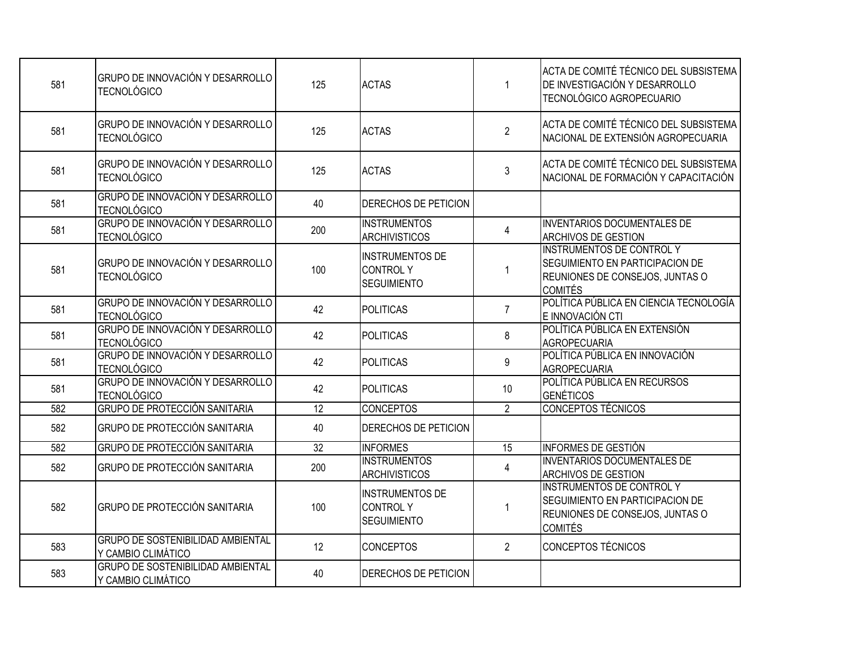| 581 | GRUPO DE INNOVACIÓN Y DESARROLLO<br><b>TECNOLÓGICO</b>         | 125             | <b>ACTAS</b>                                                    |                | ACTA DE COMITÉ TÉCNICO DEL SUBSISTEMA<br>DE INVESTIGACIÓN Y DESARROLLO<br>TECNOLÓGICO AGROPECUARIO                       |
|-----|----------------------------------------------------------------|-----------------|-----------------------------------------------------------------|----------------|--------------------------------------------------------------------------------------------------------------------------|
| 581 | GRUPO DE INNOVACIÓN Y DESARROLLO<br><b>TECNOLÓGICO</b>         | 125             | <b>ACTAS</b>                                                    | $\overline{2}$ | ACTA DE COMITÉ TÉCNICO DEL SUBSISTEMA<br>NACIONAL DE EXTENSIÓN AGROPECUARIA                                              |
| 581 | GRUPO DE INNOVACIÓN Y DESARROLLO<br><b>TECNOLÓGICO</b>         | 125             | <b>ACTAS</b>                                                    | $\mathfrak{Z}$ | ACTA DE COMITÉ TÉCNICO DEL SUBSISTEMA<br>NACIONAL DE FORMACIÓN Y CAPACITACIÓN                                            |
| 581 | GRUPO DE INNOVACIÓN Y DESARROLLO<br><b>TECNOLÓGICO</b>         | 40              | DERECHOS DE PETICION                                            |                |                                                                                                                          |
| 581 | GRUPO DE INNOVACIÓN Y DESARROLLO<br><b>TECNOLÓGICO</b>         | 200             | <b>INSTRUMENTOS</b><br><b>ARCHIVISTICOS</b>                     | 4              | <b>INVENTARIOS DOCUMENTALES DE</b><br><b>ARCHIVOS DE GESTION</b>                                                         |
| 581 | GRUPO DE INNOVACIÓN Y DESARROLLO<br><b>TECNOLÓGICO</b>         | 100             | <b>INSTRUMENTOS DE</b><br><b>CONTROLY</b><br><b>SEGUIMIENTO</b> |                | <b>INSTRUMENTOS DE CONTROL Y</b><br>SEGUIMIENTO EN PARTICIPACION DE<br>REUNIONES DE CONSEJOS, JUNTAS O<br><b>COMITÉS</b> |
| 581 | GRUPO DE INNOVACIÓN Y DESARROLLO<br><b>TECNOLÓGICO</b>         | 42              | POLITICAS                                                       | $\overline{7}$ | POLÍTICA PÚBLICA EN CIENCIA TECNOLOGÍA<br>E INNOVACIÓN CTI                                                               |
| 581 | GRUPO DE INNOVACIÓN Y DESARROLLO<br><b>TECNOLÓGICO</b>         | 42              | <b>POLITICAS</b>                                                | 8              | POLÍTICA PÚBLICA EN EXTENSIÓN<br><b>AGROPECUARIA</b>                                                                     |
| 581 | GRUPO DE INNOVACIÓN Y DESARROLLO<br><b>TECNOLÓGICO</b>         | 42              | POLITICAS                                                       | 9              | POLÍTICA PÚBLICA EN INNOVACIÓN<br><b>AGROPECUARIA</b>                                                                    |
| 581 | GRUPO DE INNOVACIÓN Y DESARROLLO<br><b>TECNOLÓGICO</b>         | 42              | POLITICAS                                                       | 10             | POLÍTICA PÚBLICA EN RECURSOS<br><b>GENÉTICOS</b>                                                                         |
| 582 | <b>GRUPO DE PROTECCIÓN SANITARIA</b>                           | 12              | <b>CONCEPTOS</b>                                                | $\overline{2}$ | <b>CONCEPTOS TÉCNICOS</b>                                                                                                |
| 582 | <b>GRUPO DE PROTECCIÓN SANITARIA</b>                           | 40              | DERECHOS DE PETICION                                            |                |                                                                                                                          |
| 582 | <b>GRUPO DE PROTECCIÓN SANITARIA</b>                           | $\overline{32}$ | <b>INFORMES</b>                                                 | 15             | <b>INFORMES DE GESTIÓN</b>                                                                                               |
| 582 | <b>GRUPO DE PROTECCIÓN SANITARIA</b>                           | 200             | <b>INSTRUMENTOS</b><br><b>ARCHIVISTICOS</b>                     | $\overline{4}$ | <b>INVENTARIOS DOCUMENTALES DE</b><br>ARCHIVOS DE GESTION                                                                |
| 582 | GRUPO DE PROTECCIÓN SANITARIA                                  | 100             | <b>INSTRUMENTOS DE</b><br><b>CONTROLY</b><br><b>SEGUIMIENTO</b> | -1             | <b>INSTRUMENTOS DE CONTROL Y</b><br>SEGUIMIENTO EN PARTICIPACION DE<br>REUNIONES DE CONSEJOS, JUNTAS O<br><b>COMITÉS</b> |
| 583 | <b>GRUPO DE SOSTENIBILIDAD AMBIENTAL</b><br>Y CAMBIO CLIMÁTICO | 12              | <b>CONCEPTOS</b>                                                | $\overline{2}$ | <b>CONCEPTOS TÉCNICOS</b>                                                                                                |
| 583 | <b>GRUPO DE SOSTENIBILIDAD AMBIENTAL</b><br>Y CAMBIO CLIMÁTICO | 40              | DERECHOS DE PETICION                                            |                |                                                                                                                          |